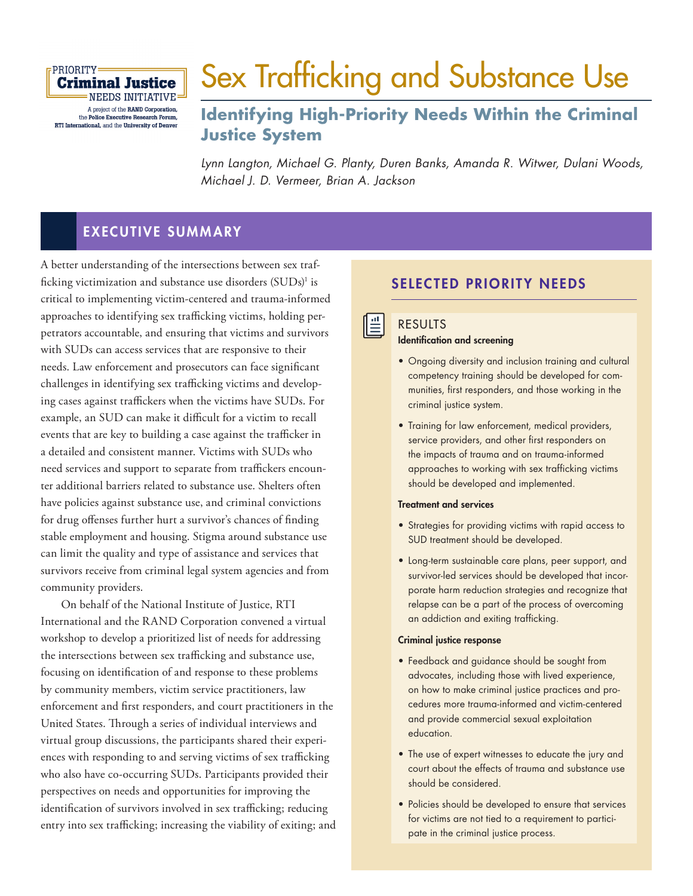

# [Sex Trafficking and Substance Use](https://www.rand.org/pubs/research_reports/RRA108-13.html)

# **Identifying High-Priority Needs Within the Criminal Justice System**

Lynn Langton, Michael G. Planty, Duren Banks, Amanda R. Witwer, Dulani Woods, Michael J. D. Vermeer, Brian A. Jackson

# EXECUTIVE SUMMARY

A better understanding of the intersections between sex trafficking victimization and substance use disorders (SUDs)<sup>1</sup> is critical to implementing victim-centered and trauma-informed approaches to identifying sex trafficking victims, holding perpetrators accountable, and ensuring that victims and survivors with SUDs can access services that are responsive to their needs. Law enforcement and prosecutors can face significant challenges in identifying sex trafficking victims and developing cases against traffickers when the victims have SUDs. For example, an SUD can make it difficult for a victim to recall events that are key to building a case against the trafficker in a detailed and consistent manner. Victims with SUDs who need services and support to separate from traffickers encounter additional barriers related to substance use. Shelters often have policies against substance use, and criminal convictions for drug offenses further hurt a survivor's chances of finding stable employment and housing. Stigma around substance use can limit the quality and type of assistance and services that survivors receive from criminal legal system agencies and from community providers.

On behalf of the National Institute of Justice, RTI International and the RAND Corporation convened a virtual workshop to develop a prioritized list of needs for addressing the intersections between sex trafficking and substance use, focusing on identification of and response to these problems by community members, victim service practitioners, law enforcement and first responders, and court practitioners in the United States. Through a series of individual interviews and virtual group discussions, the participants shared their experiences with responding to and serving victims of sex trafficking who also have co-occurring SUDs. Participants provided their perspectives on needs and opportunities for improving the identification of survivors involved in sex trafficking; reducing entry into sex trafficking; increasing the viability of exiting; and

### SELECTED PRIORITY NEEDS

#### RESULTS

<u>∥≞</u>

#### Identification and screening

- Ongoing diversity and inclusion training and cultural competency training should be developed for communities, first responders, and those working in the criminal justice system.
- Training for law enforcement, medical providers, service providers, and other first responders on the impacts of trauma and on trauma-informed approaches to working with sex trafficking victims should be developed and implemented.

#### Treatment and services

- Strategies for providing victims with rapid access to SUD treatment should be developed.
- Long-term sustainable care plans, peer support, and survivor-led services should be developed that incorporate harm reduction strategies and recognize that relapse can be a part of the process of overcoming an addiction and exiting trafficking.

#### Criminal justice response

- Feedback and guidance should be sought from advocates, including those with lived experience, on how to make criminal justice practices and procedures more trauma-informed and victim-centered and provide commercial sexual exploitation education.
- The use of expert witnesses to educate the jury and court about the effects of trauma and substance use should be considered.
- Policies should be developed to ensure that services for victims are not tied to a requirement to participate in the criminal justice process.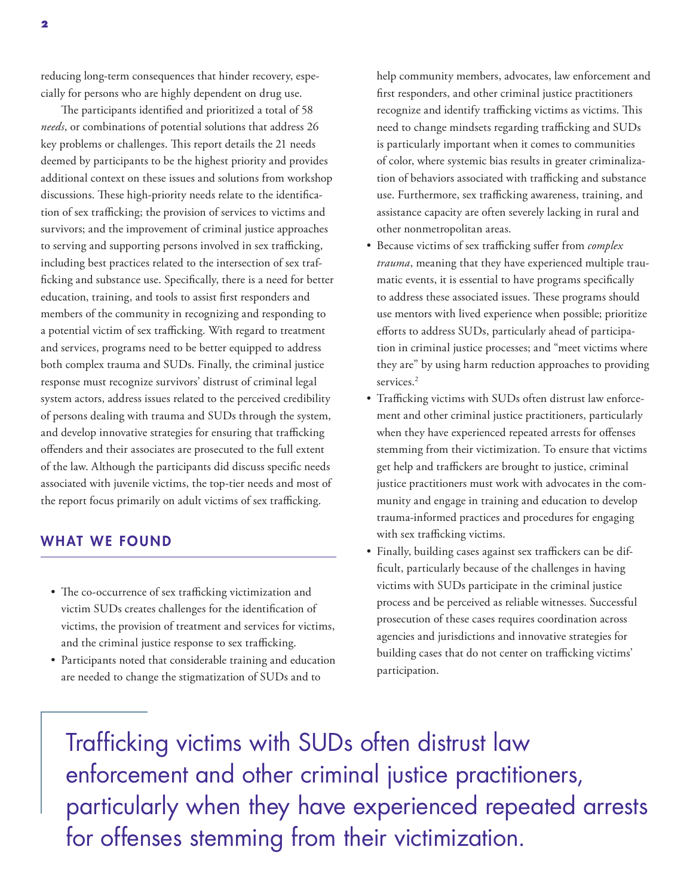reducing long-term consequences that hinder recovery, especially for persons who are highly dependent on drug use.

The participants identified and prioritized a total of 58 *needs*, or combinations of potential solutions that address 26 key problems or challenges. This report details the 21 needs deemed by participants to be the highest priority and provides additional context on these issues and solutions from workshop discussions. These high-priority needs relate to the identification of sex trafficking; the provision of services to victims and survivors; and the improvement of criminal justice approaches to serving and supporting persons involved in sex trafficking, including best practices related to the intersection of sex trafficking and substance use. Specifically, there is a need for better education, training, and tools to assist first responders and members of the community in recognizing and responding to a potential victim of sex trafficking. With regard to treatment and services, programs need to be better equipped to address both complex trauma and SUDs. Finally, the criminal justice response must recognize survivors' distrust of criminal legal system actors, address issues related to the perceived credibility of persons dealing with trauma and SUDs through the system, and develop innovative strategies for ensuring that trafficking offenders and their associates are prosecuted to the full extent of the law. Although the participants did discuss specific needs associated with juvenile victims, the top-tier needs and most of the report focus primarily on adult victims of sex trafficking.

#### WHAT WE FOUND

- The co-occurrence of sex trafficking victimization and victim SUDs creates challenges for the identification of victims, the provision of treatment and services for victims, and the criminal justice response to sex trafficking.
- Participants noted that considerable training and education are needed to change the stigmatization of SUDs and to

help community members, advocates, law enforcement and first responders, and other criminal justice practitioners recognize and identify trafficking victims as victims. This need to change mindsets regarding trafficking and SUDs is particularly important when it comes to communities of color, where systemic bias results in greater criminalization of behaviors associated with trafficking and substance use. Furthermore, sex trafficking awareness, training, and assistance capacity are often severely lacking in rural and other nonmetropolitan areas.

- Because victims of sex trafficking suffer from *complex trauma*, meaning that they have experienced multiple traumatic events, it is essential to have programs specifically to address these associated issues. These programs should use mentors with lived experience when possible; prioritize efforts to address SUDs, particularly ahead of participation in criminal justice processes; and "meet victims where they are" by using harm reduction approaches to providing services.<sup>2</sup>
- Trafficking victims with SUDs often distrust law enforcement and other criminal justice practitioners, particularly when they have experienced repeated arrests for offenses stemming from their victimization. To ensure that victims get help and traffickers are brought to justice, criminal justice practitioners must work with advocates in the community and engage in training and education to develop trauma-informed practices and procedures for engaging with sex trafficking victims.
- Finally, building cases against sex traffickers can be difficult, particularly because of the challenges in having victims with SUDs participate in the criminal justice process and be perceived as reliable witnesses. Successful prosecution of these cases requires coordination across agencies and jurisdictions and innovative strategies for building cases that do not center on trafficking victims' participation.

Trafficking victims with SUDs often distrust law enforcement and other criminal justice practitioners, particularly when they have experienced repeated arrests for offenses stemming from their victimization.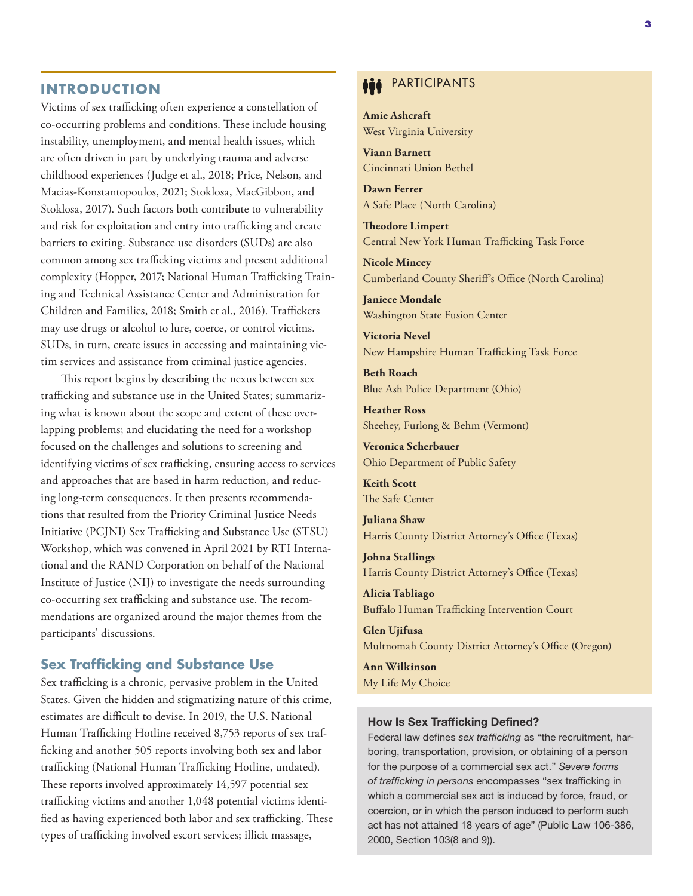#### **INTRODUCTION**

Victims of sex trafficking often experience a constellation of co-occurring problems and conditions. These include housing instability, unemployment, and mental health issues, which are often driven in part by underlying trauma and adverse childhood experiences (Judge et al., 2018; Price, Nelson, and Macias-Konstantopoulos, 2021; Stoklosa, MacGibbon, and Stoklosa, 2017). Such factors both contribute to vulnerability and risk for exploitation and entry into trafficking and create barriers to exiting. Substance use disorders (SUDs) are also common among sex trafficking victims and present additional complexity (Hopper, 2017; National Human Trafficking Training and Technical Assistance Center and Administration for Children and Families, 2018; Smith et al., 2016). Traffickers may use drugs or alcohol to lure, coerce, or control victims. SUDs, in turn, create issues in accessing and maintaining victim services and assistance from criminal justice agencies.

This report begins by describing the nexus between sex trafficking and substance use in the United States; summarizing what is known about the scope and extent of these overlapping problems; and elucidating the need for a workshop focused on the challenges and solutions to screening and identifying victims of sex trafficking, ensuring access to services and approaches that are based in harm reduction, and reducing long-term consequences. It then presents recommendations that resulted from the Priority Criminal Justice Needs Initiative (PCJNI) Sex Trafficking and Substance Use (STSU) Workshop, which was convened in April 2021 by RTI International and the RAND Corporation on behalf of the National Institute of Justice (NIJ) to investigate the needs surrounding co-occurring sex trafficking and substance use. The recommendations are organized around the major themes from the participants' discussions.

#### **Sex Trafficking and Substance Use**

Sex trafficking is a chronic, pervasive problem in the United States. Given the hidden and stigmatizing nature of this crime, estimates are difficult to devise. In 2019, the U.S. National Human Trafficking Hotline received 8,753 reports of sex trafficking and another 505 reports involving both sex and labor trafficking (National Human Trafficking Hotline, undated). These reports involved approximately 14,597 potential sex trafficking victims and another 1,048 potential victims identified as having experienced both labor and sex trafficking. These types of trafficking involved escort services; illicit massage,

# **iii** PARTICIPANTS

**Amie Ashcraft** West Virginia University

**Viann Barnett** Cincinnati Union Bethel

**Dawn Ferrer** A Safe Place (North Carolina)

**Theodore Limpert** Central New York Human Trafficking Task Force

**Nicole Mincey** Cumberland County Sheriff's Office (North Carolina)

**Janiece Mondale** Washington State Fusion Center

**Victoria Nevel** New Hampshire Human Trafficking Task Force

**Beth Roach** Blue Ash Police Department (Ohio)

**Heather Ross** Sheehey, Furlong & Behm (Vermont)

**Veronica Scherbauer** Ohio Department of Public Safety

**Keith Scott** The Safe Center

**Juliana Shaw** Harris County District Attorney's Office (Texas)

**Johna Stallings** Harris County District Attorney's Office (Texas)

**Alicia Tabliago** Buffalo Human Trafficking Intervention Court

**Glen Ujifusa** Multnomah County District Attorney's Office (Oregon)

**Ann Wilkinson** My Life My Choice

#### How Is Sex Trafficking Defined?

Federal law defines sex trafficking as "the recruitment, harboring, transportation, provision, or obtaining of a person for the purpose of a commercial sex act." Severe forms of trafficking in persons encompasses "sex trafficking in which a commercial sex act is induced by force, fraud, or coercion, or in which the person induced to perform such act has not attained 18 years of age" (Public Law 106-386, 2000, Section 103(8 and 9)).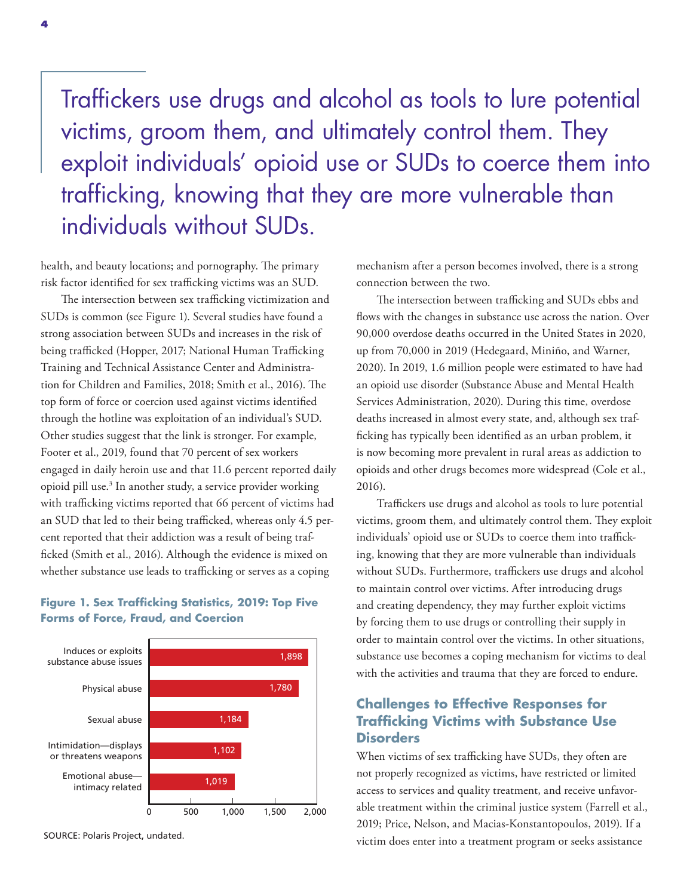Traffickers use drugs and alcohol as tools to lure potential victims, groom them, and ultimately control them. They exploit individuals' opioid use or SUDs to coerce them into trafficking, knowing that they are more vulnerable than individuals without SUDs.

health, and beauty locations; and pornography. The primary risk factor identified for sex trafficking victims was an SUD.

The intersection between sex trafficking victimization and SUDs is common (see Figure 1). Several studies have found a strong association between SUDs and increases in the risk of being trafficked (Hopper, 2017; National Human Trafficking Training and Technical Assistance Center and Administration for Children and Families, 2018; Smith et al., 2016). The top form of force or coercion used against victims identified through the hotline was exploitation of an individual's SUD. Other studies suggest that the link is stronger. For example, Footer et al., 2019, found that 70 percent of sex workers engaged in daily heroin use and that 11.6 percent reported daily opioid pill use.<sup>3</sup> In another study, a service provider working with trafficking victims reported that 66 percent of victims had an SUD that led to their being trafficked, whereas only 4.5 percent reported that their addiction was a result of being trafficked (Smith et al., 2016). Although the evidence is mixed on whether substance use leads to trafficking or serves as a coping

#### **Figure 1. Sex Trafficking Statistics, 2019: Top Five Forms of Force, Fraud, and Coercion**



SOURCE: Polaris Project, undated.

mechanism after a person becomes involved, there is a strong connection between the two.

The intersection between trafficking and SUDs ebbs and flows with the changes in substance use across the nation. Over 90,000 overdose deaths occurred in the United States in 2020, up from 70,000 in 2019 (Hedegaard, Miniño, and Warner, 2020). In 2019, 1.6 million people were estimated to have had an opioid use disorder (Substance Abuse and Mental Health Services Administration, 2020). During this time, overdose deaths increased in almost every state, and, although sex trafficking has typically been identified as an urban problem, it is now becoming more prevalent in rural areas as addiction to opioids and other drugs becomes more widespread (Cole et al., 2016).

Traffickers use drugs and alcohol as tools to lure potential victims, groom them, and ultimately control them. They exploit individuals' opioid use or SUDs to coerce them into trafficking, knowing that they are more vulnerable than individuals without SUDs. Furthermore, traffickers use drugs and alcohol to maintain control over victims. After introducing drugs and creating dependency, they may further exploit victims by forcing them to use drugs or controlling their supply in order to maintain control over the victims. In other situations, substance use becomes a coping mechanism for victims to deal with the activities and trauma that they are forced to endure.

#### **Challenges to Effective Responses for Trafficking Victims with Substance Use Disorders**

When victims of sex trafficking have SUDs, they often are not properly recognized as victims, have restricted or limited access to services and quality treatment, and receive unfavorable treatment within the criminal justice system (Farrell et al., 2019; Price, Nelson, and Macias-Konstantopoulos, 2019). If a victim does enter into a treatment program or seeks assistance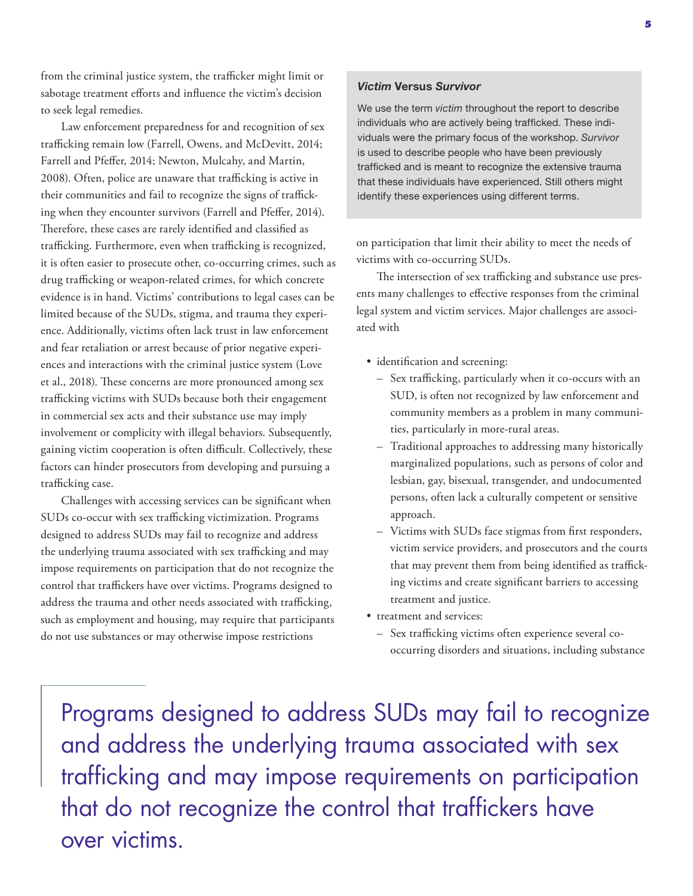from the criminal justice system, the trafficker might limit or sabotage treatment efforts and influence the victim's decision to seek legal remedies.

Law enforcement preparedness for and recognition of sex trafficking remain low (Farrell, Owens, and McDevitt, 2014; Farrell and Pfeffer, 2014; Newton, Mulcahy, and Martin, 2008). Often, police are unaware that trafficking is active in their communities and fail to recognize the signs of trafficking when they encounter survivors (Farrell and Pfeffer, 2014). Therefore, these cases are rarely identified and classified as trafficking. Furthermore, even when trafficking is recognized, it is often easier to prosecute other, co-occurring crimes, such as drug trafficking or weapon-related crimes, for which concrete evidence is in hand. Victims' contributions to legal cases can be limited because of the SUDs, stigma, and trauma they experience. Additionally, victims often lack trust in law enforcement and fear retaliation or arrest because of prior negative experiences and interactions with the criminal justice system (Love et al., 2018). These concerns are more pronounced among sex trafficking victims with SUDs because both their engagement in commercial sex acts and their substance use may imply involvement or complicity with illegal behaviors. Subsequently, gaining victim cooperation is often difficult. Collectively, these factors can hinder prosecutors from developing and pursuing a trafficking case.

Challenges with accessing services can be significant when SUDs co-occur with sex trafficking victimization. Programs designed to address SUDs may fail to recognize and address the underlying trauma associated with sex trafficking and may impose requirements on participation that do not recognize the control that traffickers have over victims. Programs designed to address the trauma and other needs associated with trafficking, such as employment and housing, may require that participants do not use substances or may otherwise impose restrictions

#### Victim Versus Survivor

We use the term victim throughout the report to describe individuals who are actively being trafficked. These individuals were the primary focus of the workshop. Survivor is used to describe people who have been previously trafficked and is meant to recognize the extensive trauma that these individuals have experienced. Still others might identify these experiences using different terms.

on participation that limit their ability to meet the needs of victims with co-occurring SUDs.

The intersection of sex trafficking and substance use presents many challenges to effective responses from the criminal legal system and victim services. Major challenges are associated with

- identification and screening:
	- Sex trafficking, particularly when it co-occurs with an SUD, is often not recognized by law enforcement and community members as a problem in many communities, particularly in more-rural areas.
	- Traditional approaches to addressing many historically marginalized populations, such as persons of color and lesbian, gay, bisexual, transgender, and undocumented persons, often lack a culturally competent or sensitive approach.
	- Victims with SUDs face stigmas from first responders, victim service providers, and prosecutors and the courts that may prevent them from being identified as trafficking victims and create significant barriers to accessing treatment and justice.
- treatment and services:
	- Sex trafficking victims often experience several cooccurring disorders and situations, including substance

Programs designed to address SUDs may fail to recognize and address the underlying trauma associated with sex trafficking and may impose requirements on participation that do not recognize the control that traffickers have over victims.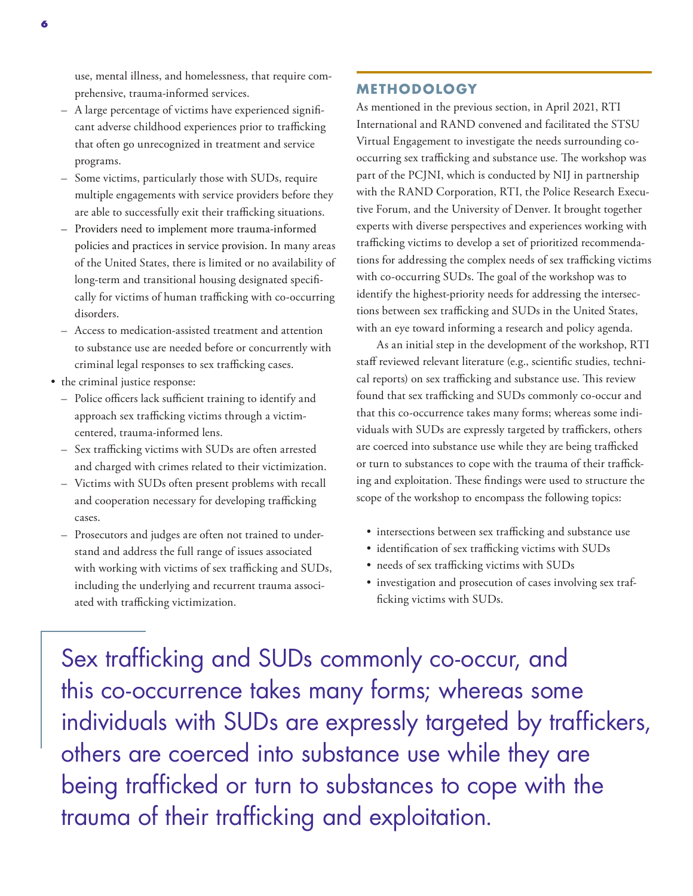use, mental illness, and homelessness, that require comprehensive, trauma-informed services.

- A large percentage of victims have experienced significant adverse childhood experiences prior to trafficking that often go unrecognized in treatment and service programs.
- Some victims, particularly those with SUDs, require multiple engagements with service providers before they are able to successfully exit their trafficking situations.
- Providers need to implement more trauma-informed policies and practices in service provision. In many areas of the United States, there is limited or no availability of long-term and transitional housing designated specifically for victims of human trafficking with co-occurring disorders.
- Access to medication-assisted treatment and attention to substance use are needed before or concurrently with criminal legal responses to sex trafficking cases.
- the criminal justice response:
	- Police officers lack sufficient training to identify and approach sex trafficking victims through a victimcentered, trauma-informed lens.
	- Sex trafficking victims with SUDs are often arrested and charged with crimes related to their victimization.
	- Victims with SUDs often present problems with recall and cooperation necessary for developing trafficking cases.
	- Prosecutors and judges are often not trained to understand and address the full range of issues associated with working with victims of sex trafficking and SUDs, including the underlying and recurrent trauma associated with trafficking victimization.

#### **METHODOLOGY**

As mentioned in the previous section, in April 2021, RTI International and RAND convened and facilitated the STSU Virtual Engagement to investigate the needs surrounding cooccurring sex trafficking and substance use. The workshop was part of the PCJNI, which is conducted by NIJ in partnership with the RAND Corporation, RTI, the Police Research Executive Forum, and the University of Denver. It brought together experts with diverse perspectives and experiences working with trafficking victims to develop a set of prioritized recommendations for addressing the complex needs of sex trafficking victims with co-occurring SUDs. The goal of the workshop was to identify the highest-priority needs for addressing the intersections between sex trafficking and SUDs in the United States, with an eye toward informing a research and policy agenda.

As an initial step in the development of the workshop, RTI staff reviewed relevant literature (e.g., scientific studies, technical reports) on sex trafficking and substance use. This review found that sex trafficking and SUDs commonly co-occur and that this co-occurrence takes many forms; whereas some individuals with SUDs are expressly targeted by traffickers, others are coerced into substance use while they are being trafficked or turn to substances to cope with the trauma of their trafficking and exploitation. These findings were used to structure the scope of the workshop to encompass the following topics:

- intersections between sex trafficking and substance use
- identification of sex trafficking victims with SUDs
- needs of sex trafficking victims with SUDs
- investigation and prosecution of cases involving sex trafficking victims with SUDs.

Sex trafficking and SUDs commonly co-occur, and this co-occurrence takes many forms; whereas some individuals with SUDs are expressly targeted by traffickers, others are coerced into substance use while they are being trafficked or turn to substances to cope with the trauma of their trafficking and exploitation.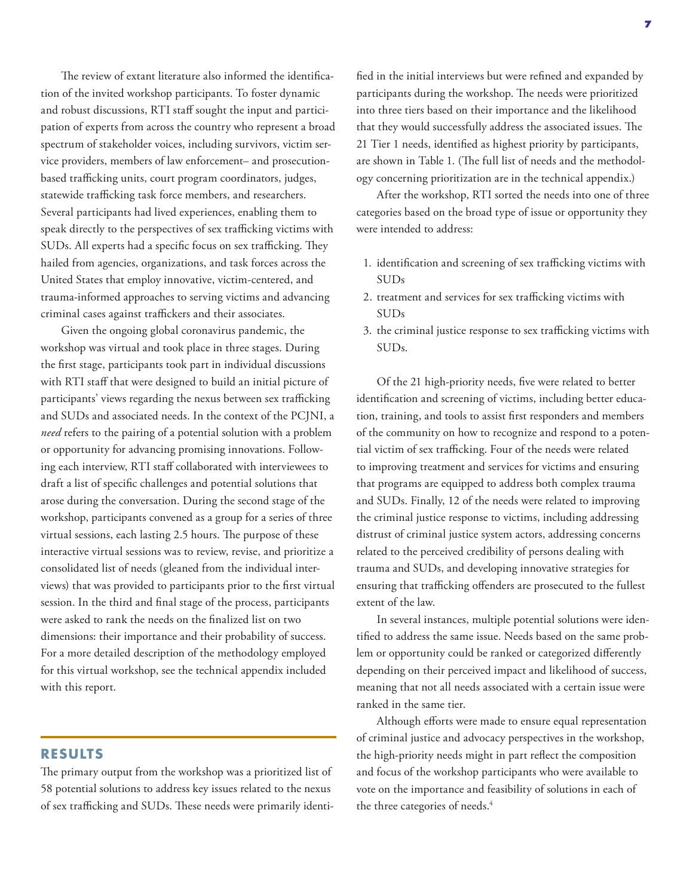The review of extant literature also informed the identification of the invited workshop participants. To foster dynamic and robust discussions, RTI staff sought the input and participation of experts from across the country who represent a broad spectrum of stakeholder voices, including survivors, victim service providers, members of law enforcement– and prosecutionbased trafficking units, court program coordinators, judges, statewide trafficking task force members, and researchers. Several participants had lived experiences, enabling them to speak directly to the perspectives of sex trafficking victims with SUDs. All experts had a specific focus on sex trafficking. They hailed from agencies, organizations, and task forces across the United States that employ innovative, victim-centered, and trauma-informed approaches to serving victims and advancing criminal cases against traffickers and their associates.

Given the ongoing global coronavirus pandemic, the workshop was virtual and took place in three stages. During the first stage, participants took part in individual discussions with RTI staff that were designed to build an initial picture of participants' views regarding the nexus between sex trafficking and SUDs and associated needs. In the context of the PCJNI, a *need* refers to the pairing of a potential solution with a problem or opportunity for advancing promising innovations. Following each interview, RTI staff collaborated with interviewees to draft a list of specific challenges and potential solutions that arose during the conversation. During the second stage of the workshop, participants convened as a group for a series of three virtual sessions, each lasting 2.5 hours. The purpose of these interactive virtual sessions was to review, revise, and prioritize a consolidated list of needs (gleaned from the individual interviews) that was provided to participants prior to the first virtual session. In the third and final stage of the process, participants were asked to rank the needs on the finalized list on two dimensions: their importance and their probability of success. For a more detailed description of the methodology employed for this virtual workshop, see the technical appendix included with this report.

**RESULTS**

The primary output from the workshop was a prioritized list of 58 potential solutions to address key issues related to the nexus of sex trafficking and SUDs. These needs were primarily identified in the initial interviews but were refined and expanded by participants during the workshop. The needs were prioritized into three tiers based on their importance and the likelihood that they would successfully address the associated issues. The 21 Tier 1 needs, identified as highest priority by participants, are shown in Table 1. (The full list of needs and the methodology concerning prioritization are in the technical appendix.)

After the workshop, RTI sorted the needs into one of three categories based on the broad type of issue or opportunity they were intended to address:

- 1. identification and screening of sex trafficking victims with SUDs
- 2. treatment and services for sex trafficking victims with SUDs
- 3. the criminal justice response to sex trafficking victims with SUDs.

Of the 21 high-priority needs, five were related to better identification and screening of victims, including better education, training, and tools to assist first responders and members of the community on how to recognize and respond to a potential victim of sex trafficking. Four of the needs were related to improving treatment and services for victims and ensuring that programs are equipped to address both complex trauma and SUDs. Finally, 12 of the needs were related to improving the criminal justice response to victims, including addressing distrust of criminal justice system actors, addressing concerns related to the perceived credibility of persons dealing with trauma and SUDs, and developing innovative strategies for ensuring that trafficking offenders are prosecuted to the fullest extent of the law.

In several instances, multiple potential solutions were identified to address the same issue. Needs based on the same problem or opportunity could be ranked or categorized differently depending on their perceived impact and likelihood of success, meaning that not all needs associated with a certain issue were ranked in the same tier.

Although efforts were made to ensure equal representation of criminal justice and advocacy perspectives in the workshop, the high-priority needs might in part reflect the composition and focus of the workshop participants who were available to vote on the importance and feasibility of solutions in each of the three categories of needs.<sup>4</sup>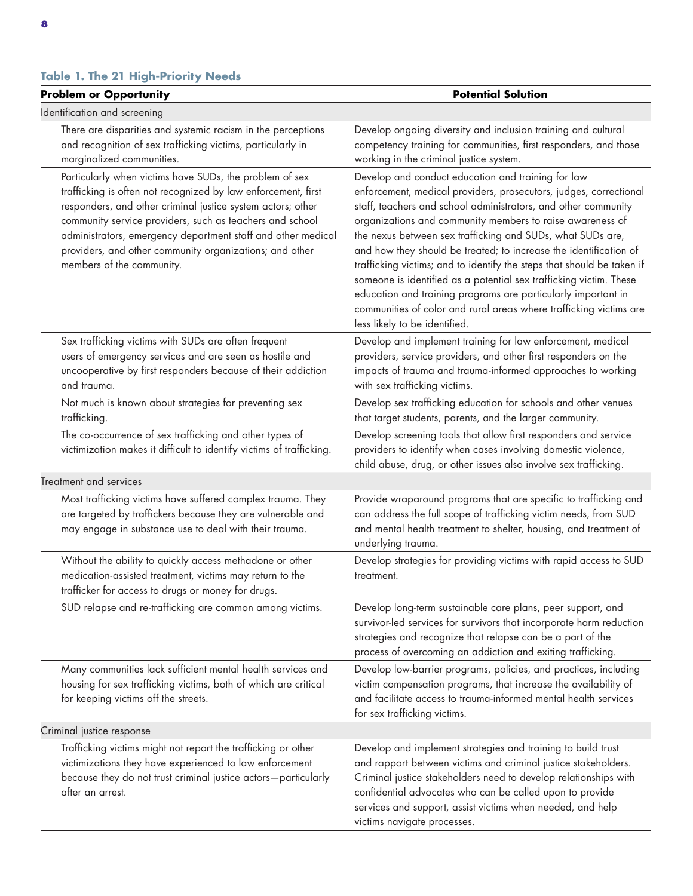| <b>Problem or Opportunity</b>                                                                                                                                                                                                                                                                                                                                                                               | <b>Potential Solution</b>                                                                                                                                                                                                                                                                                                                                                                                                                                                                                                                                                                                                                                                                                         |
|-------------------------------------------------------------------------------------------------------------------------------------------------------------------------------------------------------------------------------------------------------------------------------------------------------------------------------------------------------------------------------------------------------------|-------------------------------------------------------------------------------------------------------------------------------------------------------------------------------------------------------------------------------------------------------------------------------------------------------------------------------------------------------------------------------------------------------------------------------------------------------------------------------------------------------------------------------------------------------------------------------------------------------------------------------------------------------------------------------------------------------------------|
| Identification and screening                                                                                                                                                                                                                                                                                                                                                                                |                                                                                                                                                                                                                                                                                                                                                                                                                                                                                                                                                                                                                                                                                                                   |
| There are disparities and systemic racism in the perceptions<br>and recognition of sex trafficking victims, particularly in<br>marginalized communities.                                                                                                                                                                                                                                                    | Develop ongoing diversity and inclusion training and cultural<br>competency training for communities, first responders, and those<br>working in the criminal justice system.                                                                                                                                                                                                                                                                                                                                                                                                                                                                                                                                      |
| Particularly when victims have SUDs, the problem of sex<br>trafficking is often not recognized by law enforcement, first<br>responders, and other criminal justice system actors; other<br>community service providers, such as teachers and school<br>administrators, emergency department staff and other medical<br>providers, and other community organizations; and other<br>members of the community. | Develop and conduct education and training for law<br>enforcement, medical providers, prosecutors, judges, correctional<br>staff, teachers and school administrators, and other community<br>organizations and community members to raise awareness of<br>the nexus between sex trafficking and SUDs, what SUDs are,<br>and how they should be treated; to increase the identification of<br>trafficking victims; and to identify the steps that should be taken if<br>someone is identified as a potential sex trafficking victim. These<br>education and training programs are particularly important in<br>communities of color and rural areas where trafficking victims are<br>less likely to be identified. |
| Sex trafficking victims with SUDs are often frequent<br>users of emergency services and are seen as hostile and<br>uncooperative by first responders because of their addiction<br>and trauma.                                                                                                                                                                                                              | Develop and implement training for law enforcement, medical<br>providers, service providers, and other first responders on the<br>impacts of trauma and trauma-informed approaches to working<br>with sex trafficking victims.                                                                                                                                                                                                                                                                                                                                                                                                                                                                                    |
| Not much is known about strategies for preventing sex<br>trafficking.                                                                                                                                                                                                                                                                                                                                       | Develop sex trafficking education for schools and other venues<br>that target students, parents, and the larger community.                                                                                                                                                                                                                                                                                                                                                                                                                                                                                                                                                                                        |
| The co-occurrence of sex trafficking and other types of<br>victimization makes it difficult to identify victims of trafficking.<br>Treatment and services                                                                                                                                                                                                                                                   | Develop screening tools that allow first responders and service<br>providers to identify when cases involving domestic violence,<br>child abuse, drug, or other issues also involve sex trafficking.                                                                                                                                                                                                                                                                                                                                                                                                                                                                                                              |
| Most trafficking victims have suffered complex trauma. They<br>are targeted by traffickers because they are vulnerable and<br>may engage in substance use to deal with their trauma.                                                                                                                                                                                                                        | Provide wraparound programs that are specific to trafficking and<br>can address the full scope of trafficking victim needs, from SUD<br>and mental health treatment to shelter, housing, and treatment of<br>underlying trauma.                                                                                                                                                                                                                                                                                                                                                                                                                                                                                   |
| Without the ability to quickly access methadone or other<br>medication-assisted treatment, victims may return to the<br>trafficker for access to drugs or money for drugs.                                                                                                                                                                                                                                  | Develop strategies for providing victims with rapid access to SUD<br>treatment.                                                                                                                                                                                                                                                                                                                                                                                                                                                                                                                                                                                                                                   |
| SUD relapse and re-trafficking are common among victims.                                                                                                                                                                                                                                                                                                                                                    | Develop long-term sustainable care plans, peer support, and<br>survivor-led services for survivors that incorporate harm reduction<br>strategies and recognize that relapse can be a part of the<br>process of overcoming an addiction and exiting trafficking.                                                                                                                                                                                                                                                                                                                                                                                                                                                   |
| Many communities lack sufficient mental health services and<br>housing for sex trafficking victims, both of which are critical<br>for keeping victims off the streets.                                                                                                                                                                                                                                      | Develop low-barrier programs, policies, and practices, including<br>victim compensation programs, that increase the availability of<br>and facilitate access to trauma-informed mental health services<br>for sex trafficking victims.                                                                                                                                                                                                                                                                                                                                                                                                                                                                            |
| Criminal justice response                                                                                                                                                                                                                                                                                                                                                                                   |                                                                                                                                                                                                                                                                                                                                                                                                                                                                                                                                                                                                                                                                                                                   |
| Trafficking victims might not report the trafficking or other<br>victimizations they have experienced to law enforcement<br>because they do not trust criminal justice actors-particularly<br>after an arrest.                                                                                                                                                                                              | Develop and implement strategies and training to build trust<br>and rapport between victims and criminal justice stakeholders.<br>Criminal justice stakeholders need to develop relationships with<br>confidential advocates who can be called upon to provide<br>services and support, assist victims when needed, and help<br>victims navigate processes.                                                                                                                                                                                                                                                                                                                                                       |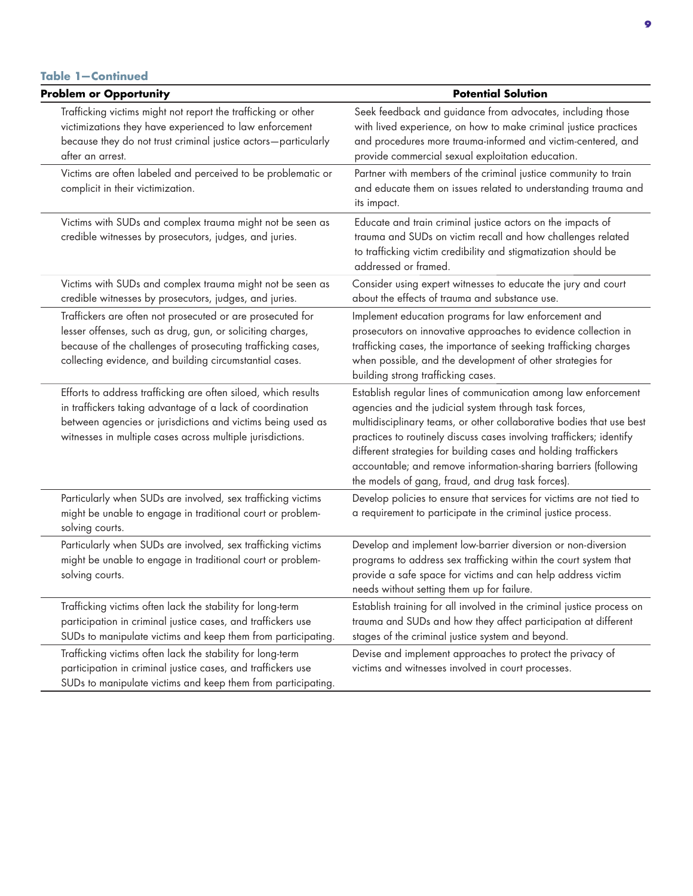#### **Table 1—Continued**

| <b>Problem or Opportunity</b>                                                                                                                                                                                                                            | <b>Potential Solution</b>                                                                                                                                                                                                                                                                                                                                                                                                                                          |
|----------------------------------------------------------------------------------------------------------------------------------------------------------------------------------------------------------------------------------------------------------|--------------------------------------------------------------------------------------------------------------------------------------------------------------------------------------------------------------------------------------------------------------------------------------------------------------------------------------------------------------------------------------------------------------------------------------------------------------------|
| Trafficking victims might not report the trafficking or other<br>victimizations they have experienced to law enforcement<br>because they do not trust criminal justice actors-particularly<br>after an arrest.                                           | Seek feedback and guidance from advocates, including those<br>with lived experience, on how to make criminal justice practices<br>and procedures more trauma-informed and victim-centered, and<br>provide commercial sexual exploitation education.                                                                                                                                                                                                                |
| Victims are often labeled and perceived to be problematic or<br>complicit in their victimization.                                                                                                                                                        | Partner with members of the criminal justice community to train<br>and educate them on issues related to understanding trauma and<br>its impact.                                                                                                                                                                                                                                                                                                                   |
| Victims with SUDs and complex trauma might not be seen as<br>credible witnesses by prosecutors, judges, and juries.                                                                                                                                      | Educate and train criminal justice actors on the impacts of<br>trauma and SUDs on victim recall and how challenges related<br>to trafficking victim credibility and stigmatization should be<br>addressed or framed.                                                                                                                                                                                                                                               |
| Victims with SUDs and complex trauma might not be seen as<br>credible witnesses by prosecutors, judges, and juries.                                                                                                                                      | Consider using expert witnesses to educate the jury and court<br>about the effects of trauma and substance use.                                                                                                                                                                                                                                                                                                                                                    |
| Traffickers are often not prosecuted or are prosecuted for<br>lesser offenses, such as drug, gun, or soliciting charges,<br>because of the challenges of prosecuting trafficking cases,<br>collecting evidence, and building circumstantial cases.       | Implement education programs for law enforcement and<br>prosecutors on innovative approaches to evidence collection in<br>trafficking cases, the importance of seeking trafficking charges<br>when possible, and the development of other strategies for<br>building strong trafficking cases.                                                                                                                                                                     |
| Efforts to address trafficking are often siloed, which results<br>in traffickers taking advantage of a lack of coordination<br>between agencies or jurisdictions and victims being used as<br>witnesses in multiple cases across multiple jurisdictions. | Establish regular lines of communication among law enforcement<br>agencies and the judicial system through task forces,<br>multidisciplinary teams, or other collaborative bodies that use best<br>practices to routinely discuss cases involving traffickers; identify<br>different strategies for building cases and holding traffickers<br>accountable; and remove information-sharing barriers (following<br>the models of gang, fraud, and drug task forces). |
| Particularly when SUDs are involved, sex trafficking victims<br>might be unable to engage in traditional court or problem-<br>solving courts.                                                                                                            | Develop policies to ensure that services for victims are not tied to<br>a requirement to participate in the criminal justice process.                                                                                                                                                                                                                                                                                                                              |
| Particularly when SUDs are involved, sex trafficking victims<br>might be unable to engage in traditional court or problem-<br>solving courts.                                                                                                            | Develop and implement low-barrier diversion or non-diversion<br>programs to address sex trafficking within the court system that<br>provide a safe space for victims and can help address victim<br>needs without setting them up for failure.                                                                                                                                                                                                                     |
| Trafficking victims often lack the stability for long-term<br>participation in criminal justice cases, and traffickers use<br>SUDs to manipulate victims and keep them from participating.                                                               | Establish training for all involved in the criminal justice process on<br>trauma and SUDs and how they affect participation at different<br>stages of the criminal justice system and beyond.                                                                                                                                                                                                                                                                      |
| Trafficking victims often lack the stability for long-term<br>participation in criminal justice cases, and traffickers use<br>SUDs to manipulate victims and keep them from participating.                                                               | Devise and implement approaches to protect the privacy of<br>victims and witnesses involved in court processes.                                                                                                                                                                                                                                                                                                                                                    |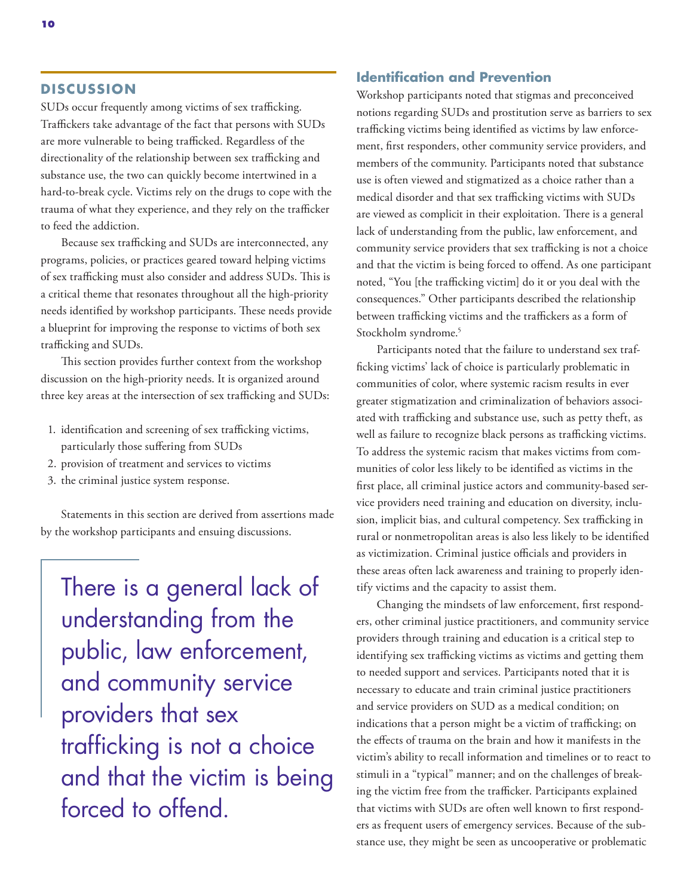#### **DISCUSSION**

SUDs occur frequently among victims of sex trafficking. Traffickers take advantage of the fact that persons with SUDs are more vulnerable to being trafficked. Regardless of the directionality of the relationship between sex trafficking and substance use, the two can quickly become intertwined in a hard-to-break cycle. Victims rely on the drugs to cope with the trauma of what they experience, and they rely on the trafficker to feed the addiction.

Because sex trafficking and SUDs are interconnected, any programs, policies, or practices geared toward helping victims of sex trafficking must also consider and address SUDs. This is a critical theme that resonates throughout all the high-priority needs identified by workshop participants. These needs provide a blueprint for improving the response to victims of both sex trafficking and SUDs.

This section provides further context from the workshop discussion on the high-priority needs. It is organized around three key areas at the intersection of sex trafficking and SUDs:

- 1. identification and screening of sex trafficking victims, particularly those suffering from SUDs
- 2. provision of treatment and services to victims
- 3. the criminal justice system response.

Statements in this section are derived from assertions made by the workshop participants and ensuing discussions.

There is a general lack of understanding from the public, law enforcement, and community service providers that sex trafficking is not a choice and that the victim is being forced to offend.

#### **Identification and Prevention**

Workshop participants noted that stigmas and preconceived notions regarding SUDs and prostitution serve as barriers to sex trafficking victims being identified as victims by law enforcement, first responders, other community service providers, and members of the community. Participants noted that substance use is often viewed and stigmatized as a choice rather than a medical disorder and that sex trafficking victims with SUDs are viewed as complicit in their exploitation. There is a general lack of understanding from the public, law enforcement, and community service providers that sex trafficking is not a choice and that the victim is being forced to offend. As one participant noted, "You [the trafficking victim] do it or you deal with the consequences." Other participants described the relationship between trafficking victims and the traffickers as a form of Stockholm syndrome.<sup>5</sup>

Participants noted that the failure to understand sex trafficking victims' lack of choice is particularly problematic in communities of color, where systemic racism results in ever greater stigmatization and criminalization of behaviors associated with trafficking and substance use, such as petty theft, as well as failure to recognize black persons as trafficking victims. To address the systemic racism that makes victims from communities of color less likely to be identified as victims in the first place, all criminal justice actors and community-based service providers need training and education on diversity, inclusion, implicit bias, and cultural competency. Sex trafficking in rural or nonmetropolitan areas is also less likely to be identified as victimization. Criminal justice officials and providers in these areas often lack awareness and training to properly identify victims and the capacity to assist them.

Changing the mindsets of law enforcement, first responders, other criminal justice practitioners, and community service providers through training and education is a critical step to identifying sex trafficking victims as victims and getting them to needed support and services. Participants noted that it is necessary to educate and train criminal justice practitioners and service providers on SUD as a medical condition; on indications that a person might be a victim of trafficking; on the effects of trauma on the brain and how it manifests in the victim's ability to recall information and timelines or to react to stimuli in a "typical" manner; and on the challenges of breaking the victim free from the trafficker. Participants explained that victims with SUDs are often well known to first responders as frequent users of emergency services. Because of the substance use, they might be seen as uncooperative or problematic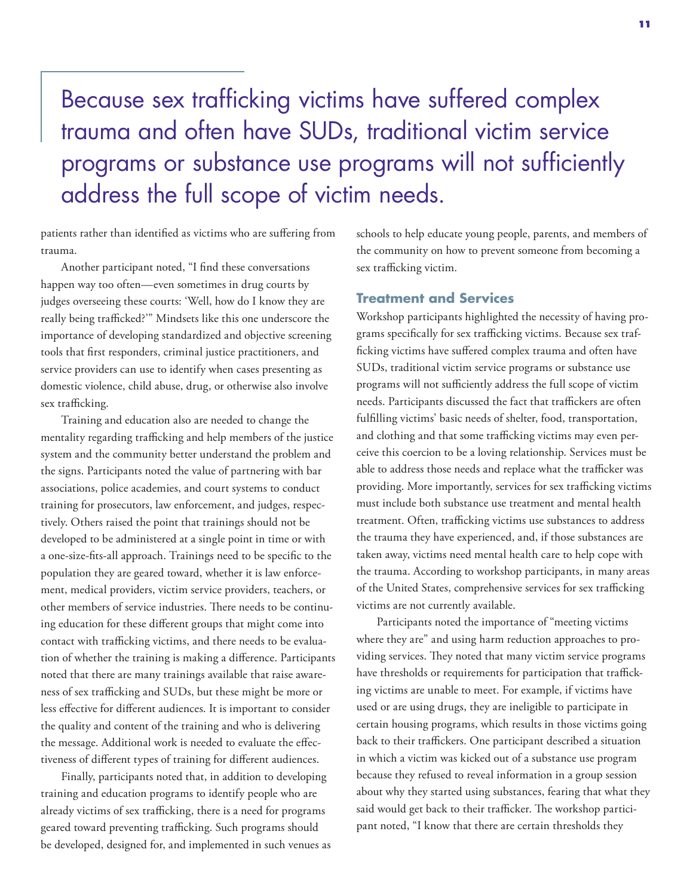# Because sex trafficking victims have suffered complex trauma and often have SUDs, traditional victim service programs or substance use programs will not sufficiently address the full scope of victim needs.

patients rather than identified as victims who are suffering from trauma.

Another participant noted, "I find these conversations happen way too often—even sometimes in drug courts by judges overseeing these courts: 'Well, how do I know they are really being trafficked?'" Mindsets like this one underscore the importance of developing standardized and objective screening tools that first responders, criminal justice practitioners, and service providers can use to identify when cases presenting as domestic violence, child abuse, drug, or otherwise also involve sex trafficking.

Training and education also are needed to change the mentality regarding trafficking and help members of the justice system and the community better understand the problem and the signs. Participants noted the value of partnering with bar associations, police academies, and court systems to conduct training for prosecutors, law enforcement, and judges, respectively. Others raised the point that trainings should not be developed to be administered at a single point in time or with a one-size-fits-all approach. Trainings need to be specific to the population they are geared toward, whether it is law enforcement, medical providers, victim service providers, teachers, or other members of service industries. There needs to be continuing education for these different groups that might come into contact with trafficking victims, and there needs to be evaluation of whether the training is making a difference. Participants noted that there are many trainings available that raise awareness of sex trafficking and SUDs, but these might be more or less effective for different audiences. It is important to consider the quality and content of the training and who is delivering the message. Additional work is needed to evaluate the effectiveness of different types of training for different audiences.

Finally, participants noted that, in addition to developing training and education programs to identify people who are already victims of sex trafficking, there is a need for programs geared toward preventing trafficking. Such programs should be developed, designed for, and implemented in such venues as schools to help educate young people, parents, and members of the community on how to prevent someone from becoming a sex trafficking victim.

#### **Treatment and Services**

Workshop participants highlighted the necessity of having programs specifically for sex trafficking victims. Because sex trafficking victims have suffered complex trauma and often have SUDs, traditional victim service programs or substance use programs will not sufficiently address the full scope of victim needs. Participants discussed the fact that traffickers are often fulfilling victims' basic needs of shelter, food, transportation, and clothing and that some trafficking victims may even perceive this coercion to be a loving relationship. Services must be able to address those needs and replace what the trafficker was providing. More importantly, services for sex trafficking victims must include both substance use treatment and mental health treatment. Often, trafficking victims use substances to address the trauma they have experienced, and, if those substances are taken away, victims need mental health care to help cope with the trauma. According to workshop participants, in many areas of the United States, comprehensive services for sex trafficking victims are not currently available.

Participants noted the importance of "meeting victims where they are" and using harm reduction approaches to providing services. They noted that many victim service programs have thresholds or requirements for participation that trafficking victims are unable to meet. For example, if victims have used or are using drugs, they are ineligible to participate in certain housing programs, which results in those victims going back to their traffickers. One participant described a situation in which a victim was kicked out of a substance use program because they refused to reveal information in a group session about why they started using substances, fearing that what they said would get back to their trafficker. The workshop participant noted, "I know that there are certain thresholds they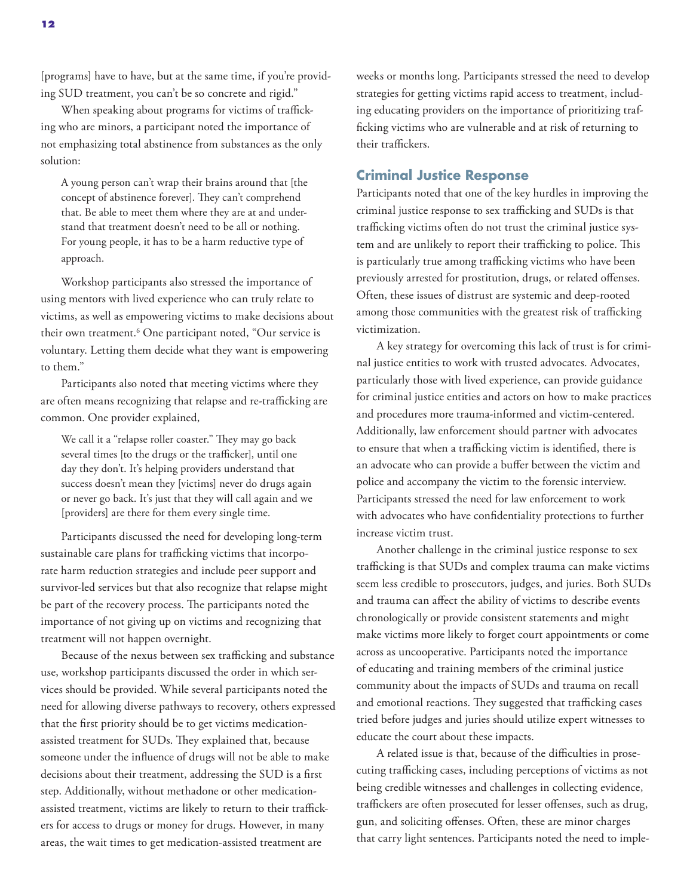[programs] have to have, but at the same time, if you're providing SUD treatment, you can't be so concrete and rigid."

When speaking about programs for victims of trafficking who are minors, a participant noted the importance of not emphasizing total abstinence from substances as the only solution:

A young person can't wrap their brains around that [the concept of abstinence forever]. They can't comprehend that. Be able to meet them where they are at and understand that treatment doesn't need to be all or nothing. For young people, it has to be a harm reductive type of approach.

Workshop participants also stressed the importance of using mentors with lived experience who can truly relate to victims, as well as empowering victims to make decisions about their own treatment.6 One participant noted, "Our service is voluntary. Letting them decide what they want is empowering to them."

Participants also noted that meeting victims where they are often means recognizing that relapse and re-trafficking are common. One provider explained,

We call it a "relapse roller coaster." They may go back several times [to the drugs or the trafficker], until one day they don't. It's helping providers understand that success doesn't mean they [victims] never do drugs again or never go back. It's just that they will call again and we [providers] are there for them every single time.

Participants discussed the need for developing long-term sustainable care plans for trafficking victims that incorporate harm reduction strategies and include peer support and survivor-led services but that also recognize that relapse might be part of the recovery process. The participants noted the importance of not giving up on victims and recognizing that treatment will not happen overnight.

Because of the nexus between sex trafficking and substance use, workshop participants discussed the order in which services should be provided. While several participants noted the need for allowing diverse pathways to recovery, others expressed that the first priority should be to get victims medicationassisted treatment for SUDs. They explained that, because someone under the influence of drugs will not be able to make decisions about their treatment, addressing the SUD is a first step. Additionally, without methadone or other medicationassisted treatment, victims are likely to return to their traffickers for access to drugs or money for drugs. However, in many areas, the wait times to get medication-assisted treatment are

weeks or months long. Participants stressed the need to develop strategies for getting victims rapid access to treatment, including educating providers on the importance of prioritizing trafficking victims who are vulnerable and at risk of returning to their traffickers.

#### **Criminal Justice Response**

Participants noted that one of the key hurdles in improving the criminal justice response to sex trafficking and SUDs is that trafficking victims often do not trust the criminal justice system and are unlikely to report their trafficking to police. This is particularly true among trafficking victims who have been previously arrested for prostitution, drugs, or related offenses. Often, these issues of distrust are systemic and deep-rooted among those communities with the greatest risk of trafficking victimization.

A key strategy for overcoming this lack of trust is for criminal justice entities to work with trusted advocates. Advocates, particularly those with lived experience, can provide guidance for criminal justice entities and actors on how to make practices and procedures more trauma-informed and victim-centered. Additionally, law enforcement should partner with advocates to ensure that when a trafficking victim is identified, there is an advocate who can provide a buffer between the victim and police and accompany the victim to the forensic interview. Participants stressed the need for law enforcement to work with advocates who have confidentiality protections to further increase victim trust.

Another challenge in the criminal justice response to sex trafficking is that SUDs and complex trauma can make victims seem less credible to prosecutors, judges, and juries. Both SUDs and trauma can affect the ability of victims to describe events chronologically or provide consistent statements and might make victims more likely to forget court appointments or come across as uncooperative. Participants noted the importance of educating and training members of the criminal justice community about the impacts of SUDs and trauma on recall and emotional reactions. They suggested that trafficking cases tried before judges and juries should utilize expert witnesses to educate the court about these impacts.

A related issue is that, because of the difficulties in prosecuting trafficking cases, including perceptions of victims as not being credible witnesses and challenges in collecting evidence, traffickers are often prosecuted for lesser offenses, such as drug, gun, and soliciting offenses. Often, these are minor charges that carry light sentences. Participants noted the need to imple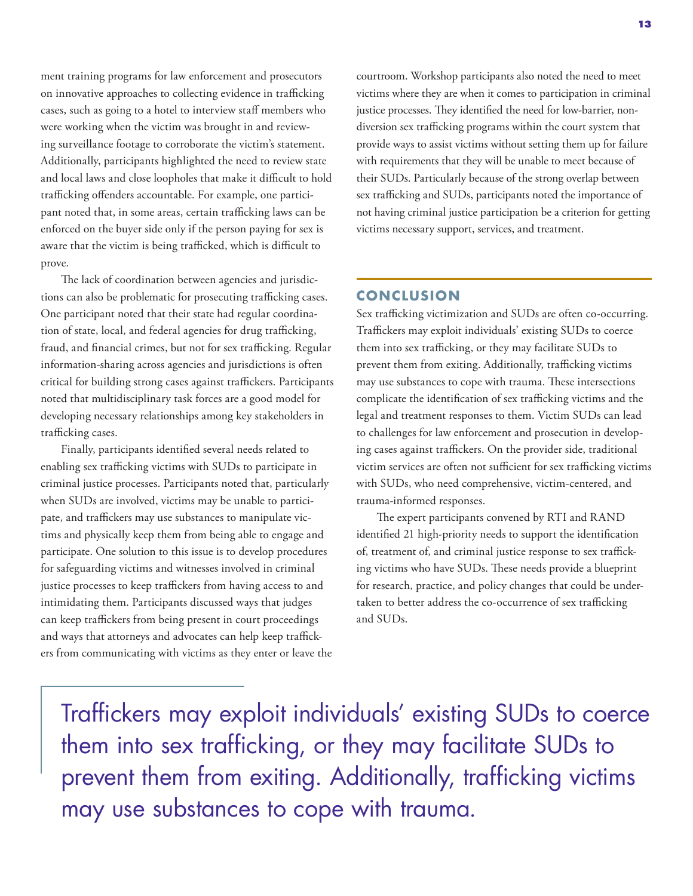ment training programs for law enforcement and prosecutors on innovative approaches to collecting evidence in trafficking cases, such as going to a hotel to interview staff members who were working when the victim was brought in and reviewing surveillance footage to corroborate the victim's statement. Additionally, participants highlighted the need to review state and local laws and close loopholes that make it difficult to hold trafficking offenders accountable. For example, one participant noted that, in some areas, certain trafficking laws can be enforced on the buyer side only if the person paying for sex is aware that the victim is being trafficked, which is difficult to prove.

The lack of coordination between agencies and jurisdictions can also be problematic for prosecuting trafficking cases. One participant noted that their state had regular coordination of state, local, and federal agencies for drug trafficking, fraud, and financial crimes, but not for sex trafficking. Regular information-sharing across agencies and jurisdictions is often critical for building strong cases against traffickers. Participants noted that multidisciplinary task forces are a good model for developing necessary relationships among key stakeholders in trafficking cases.

Finally, participants identified several needs related to enabling sex trafficking victims with SUDs to participate in criminal justice processes. Participants noted that, particularly when SUDs are involved, victims may be unable to participate, and traffickers may use substances to manipulate victims and physically keep them from being able to engage and participate. One solution to this issue is to develop procedures for safeguarding victims and witnesses involved in criminal justice processes to keep traffickers from having access to and intimidating them. Participants discussed ways that judges can keep traffickers from being present in court proceedings and ways that attorneys and advocates can help keep traffickers from communicating with victims as they enter or leave the courtroom. Workshop participants also noted the need to meet victims where they are when it comes to participation in criminal justice processes. They identified the need for low-barrier, nondiversion sex trafficking programs within the court system that provide ways to assist victims without setting them up for failure with requirements that they will be unable to meet because of their SUDs. Particularly because of the strong overlap between sex trafficking and SUDs, participants noted the importance of not having criminal justice participation be a criterion for getting victims necessary support, services, and treatment.

#### **CONCLUSION**

Sex trafficking victimization and SUDs are often co-occurring. Traffickers may exploit individuals' existing SUDs to coerce them into sex trafficking, or they may facilitate SUDs to prevent them from exiting. Additionally, trafficking victims may use substances to cope with trauma. These intersections complicate the identification of sex trafficking victims and the legal and treatment responses to them. Victim SUDs can lead to challenges for law enforcement and prosecution in developing cases against traffickers. On the provider side, traditional victim services are often not sufficient for sex trafficking victims with SUDs, who need comprehensive, victim-centered, and trauma-informed responses.

The expert participants convened by RTI and RAND identified 21 high-priority needs to support the identification of, treatment of, and criminal justice response to sex trafficking victims who have SUDs. These needs provide a blueprint for research, practice, and policy changes that could be undertaken to better address the co-occurrence of sex trafficking and SUDs.

Traffickers may exploit individuals' existing SUDs to coerce them into sex trafficking, or they may facilitate SUDs to prevent them from exiting. Additionally, trafficking victims may use substances to cope with trauma.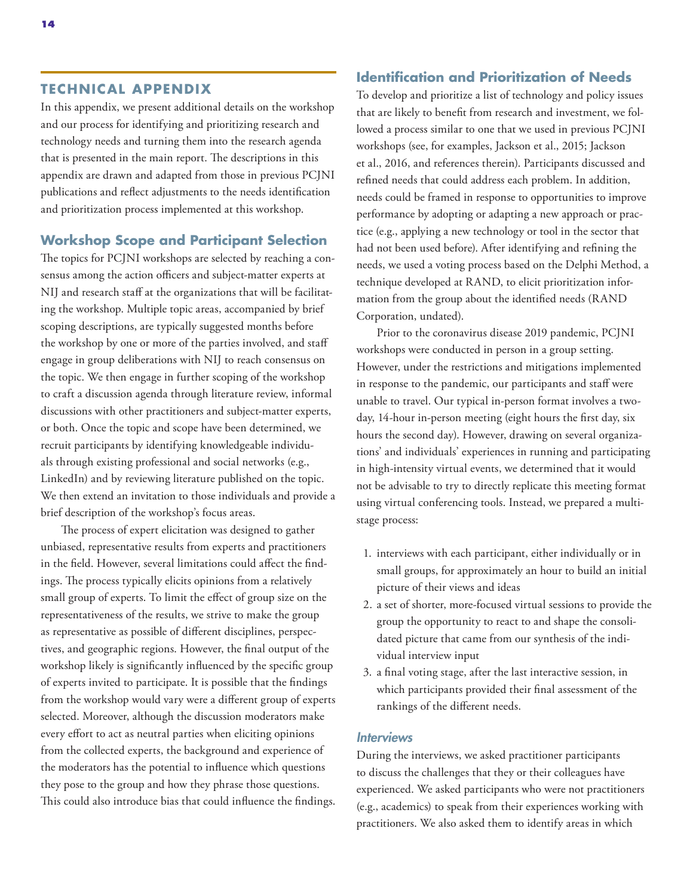#### **TECHNICAL APPENDIX**

In this appendix, we present additional details on the workshop and our process for identifying and prioritizing research and technology needs and turning them into the research agenda that is presented in the main report. The descriptions in this appendix are drawn and adapted from those in previous PCJNI publications and reflect adjustments to the needs identification and prioritization process implemented at this workshop.

#### **Workshop Scope and Participant Selection**

The topics for PCJNI workshops are selected by reaching a consensus among the action officers and subject-matter experts at NIJ and research staff at the organizations that will be facilitating the workshop. Multiple topic areas, accompanied by brief scoping descriptions, are typically suggested months before the workshop by one or more of the parties involved, and staff engage in group deliberations with NIJ to reach consensus on the topic. We then engage in further scoping of the workshop to craft a discussion agenda through literature review, informal discussions with other practitioners and subject-matter experts, or both. Once the topic and scope have been determined, we recruit participants by identifying knowledgeable individuals through existing professional and social networks (e.g., LinkedIn) and by reviewing literature published on the topic. We then extend an invitation to those individuals and provide a brief description of the workshop's focus areas.

The process of expert elicitation was designed to gather unbiased, representative results from experts and practitioners in the field. However, several limitations could affect the findings. The process typically elicits opinions from a relatively small group of experts. To limit the effect of group size on the representativeness of the results, we strive to make the group as representative as possible of different disciplines, perspectives, and geographic regions. However, the final output of the workshop likely is significantly influenced by the specific group of experts invited to participate. It is possible that the findings from the workshop would vary were a different group of experts selected. Moreover, although the discussion moderators make every effort to act as neutral parties when eliciting opinions from the collected experts, the background and experience of the moderators has the potential to influence which questions they pose to the group and how they phrase those questions. This could also introduce bias that could influence the findings.

#### **Identification and Prioritization of Needs**

To develop and prioritize a list of technology and policy issues that are likely to benefit from research and investment, we followed a process similar to one that we used in previous PCJNI workshops (see, for examples, Jackson et al., 2015; Jackson et al., 2016, and references therein). Participants discussed and refined needs that could address each problem. In addition, needs could be framed in response to opportunities to improve performance by adopting or adapting a new approach or practice (e.g., applying a new technology or tool in the sector that had not been used before). After identifying and refining the needs, we used a voting process based on the Delphi Method, a technique developed at RAND, to elicit prioritization information from the group about the identified needs (RAND Corporation, undated).

Prior to the coronavirus disease 2019 pandemic, PCJNI workshops were conducted in person in a group setting. However, under the restrictions and mitigations implemented in response to the pandemic, our participants and staff were unable to travel. Our typical in-person format involves a twoday, 14-hour in-person meeting (eight hours the first day, six hours the second day). However, drawing on several organizations' and individuals' experiences in running and participating in high-intensity virtual events, we determined that it would not be advisable to try to directly replicate this meeting format using virtual conferencing tools. Instead, we prepared a multistage process:

- 1. interviews with each participant, either individually or in small groups, for approximately an hour to build an initial picture of their views and ideas
- 2. a set of shorter, more-focused virtual sessions to provide the group the opportunity to react to and shape the consolidated picture that came from our synthesis of the individual interview input
- 3. a final voting stage, after the last interactive session, in which participants provided their final assessment of the rankings of the different needs.

#### **Interviews**

During the interviews, we asked practitioner participants to discuss the challenges that they or their colleagues have experienced. We asked participants who were not practitioners (e.g., academics) to speak from their experiences working with practitioners. We also asked them to identify areas in which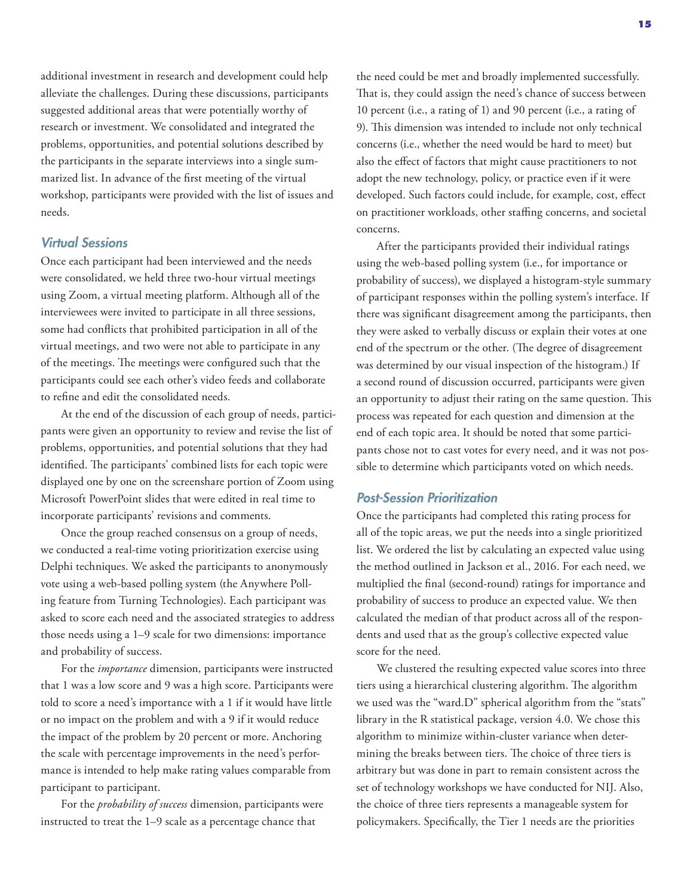additional investment in research and development could help alleviate the challenges. During these discussions, participants suggested additional areas that were potentially worthy of research or investment. We consolidated and integrated the problems, opportunities, and potential solutions described by the participants in the separate interviews into a single summarized list. In advance of the first meeting of the virtual workshop, participants were provided with the list of issues and needs.

#### Virtual Sessions

Once each participant had been interviewed and the needs were consolidated, we held three two-hour virtual meetings using Zoom, a virtual meeting platform. Although all of the interviewees were invited to participate in all three sessions, some had conflicts that prohibited participation in all of the virtual meetings, and two were not able to participate in any of the meetings. The meetings were configured such that the participants could see each other's video feeds and collaborate to refine and edit the consolidated needs.

At the end of the discussion of each group of needs, participants were given an opportunity to review and revise the list of problems, opportunities, and potential solutions that they had identified. The participants' combined lists for each topic were displayed one by one on the screenshare portion of Zoom using Microsoft PowerPoint slides that were edited in real time to incorporate participants' revisions and comments.

Once the group reached consensus on a group of needs, we conducted a real-time voting prioritization exercise using Delphi techniques. We asked the participants to anonymously vote using a web-based polling system (the Anywhere Polling feature from Turning Technologies). Each participant was asked to score each need and the associated strategies to address those needs using a 1–9 scale for two dimensions: importance and probability of success.

For the *importance* dimension, participants were instructed that 1 was a low score and 9 was a high score. Participants were told to score a need's importance with a 1 if it would have little or no impact on the problem and with a 9 if it would reduce the impact of the problem by 20 percent or more. Anchoring the scale with percentage improvements in the need's performance is intended to help make rating values comparable from participant to participant.

For the *probability of success* dimension, participants were instructed to treat the 1–9 scale as a percentage chance that

the need could be met and broadly implemented successfully. That is, they could assign the need's chance of success between 10 percent (i.e., a rating of 1) and 90 percent (i.e., a rating of 9). This dimension was intended to include not only technical concerns (i.e., whether the need would be hard to meet) but also the effect of factors that might cause practitioners to not adopt the new technology, policy, or practice even if it were developed. Such factors could include, for example, cost, effect on practitioner workloads, other staffing concerns, and societal concerns.

After the participants provided their individual ratings using the web-based polling system (i.e., for importance or probability of success), we displayed a histogram-style summary of participant responses within the polling system's interface. If there was significant disagreement among the participants, then they were asked to verbally discuss or explain their votes at one end of the spectrum or the other. (The degree of disagreement was determined by our visual inspection of the histogram.) If a second round of discussion occurred, participants were given an opportunity to adjust their rating on the same question. This process was repeated for each question and dimension at the end of each topic area. It should be noted that some participants chose not to cast votes for every need, and it was not possible to determine which participants voted on which needs.

#### Post-Session Prioritization

Once the participants had completed this rating process for all of the topic areas, we put the needs into a single prioritized list. We ordered the list by calculating an expected value using the method outlined in Jackson et al., 2016. For each need, we multiplied the final (second-round) ratings for importance and probability of success to produce an expected value. We then calculated the median of that product across all of the respondents and used that as the group's collective expected value score for the need.

We clustered the resulting expected value scores into three tiers using a hierarchical clustering algorithm. The algorithm we used was the "ward.D" spherical algorithm from the "stats" library in the R statistical package, version 4.0. We chose this algorithm to minimize within-cluster variance when determining the breaks between tiers. The choice of three tiers is arbitrary but was done in part to remain consistent across the set of technology workshops we have conducted for NIJ. Also, the choice of three tiers represents a manageable system for policymakers. Specifically, the Tier 1 needs are the priorities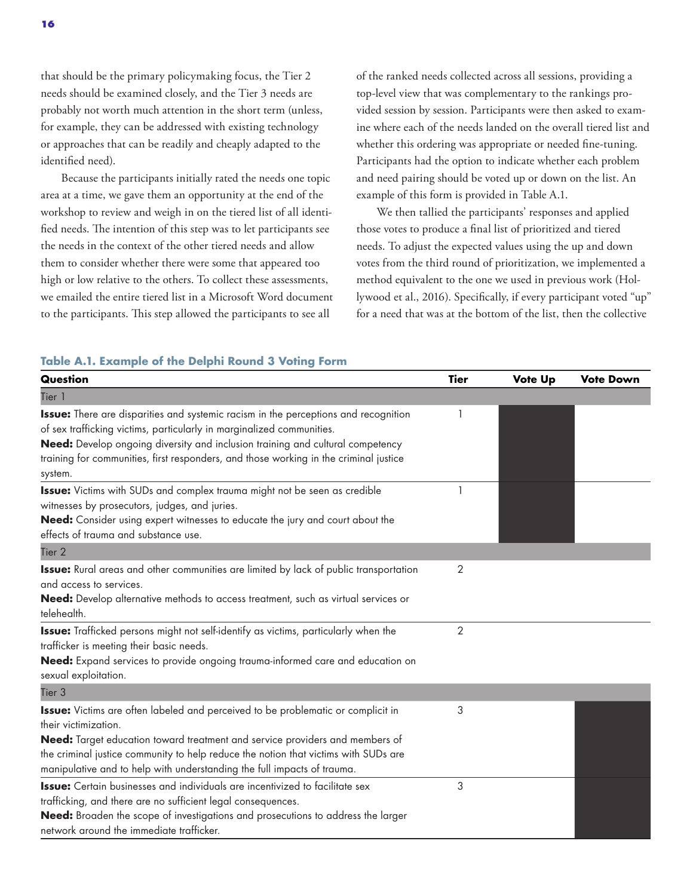that should be the primary policymaking focus, the Tier 2 needs should be examined closely, and the Tier 3 needs are probably not worth much attention in the short term (unless, for example, they can be addressed with existing technology or approaches that can be readily and cheaply adapted to the identified need).

Because the participants initially rated the needs one topic area at a time, we gave them an opportunity at the end of the workshop to review and weigh in on the tiered list of all identified needs. The intention of this step was to let participants see the needs in the context of the other tiered needs and allow them to consider whether there were some that appeared too high or low relative to the others. To collect these assessments, we emailed the entire tiered list in a Microsoft Word document to the participants. This step allowed the participants to see all

of the ranked needs collected across all sessions, providing a top-level view that was complementary to the rankings provided session by session. Participants were then asked to examine where each of the needs landed on the overall tiered list and whether this ordering was appropriate or needed fine-tuning. Participants had the option to indicate whether each problem and need pairing should be voted up or down on the list. An example of this form is provided in Table A.1.

We then tallied the participants' responses and applied those votes to produce a final list of prioritized and tiered needs. To adjust the expected values using the up and down votes from the third round of prioritization, we implemented a method equivalent to the one we used in previous work (Hollywood et al., 2016). Specifically, if every participant voted "up" for a need that was at the bottom of the list, then the collective

#### **Table A.1. Example of the Delphi Round 3 Voting Form**

| Question                                                                                                                                                                                                                                                                                                                                                          | <b>Tier</b> | Vote Up | <b>Vote Down</b> |
|-------------------------------------------------------------------------------------------------------------------------------------------------------------------------------------------------------------------------------------------------------------------------------------------------------------------------------------------------------------------|-------------|---------|------------------|
| Tier 1                                                                                                                                                                                                                                                                                                                                                            |             |         |                  |
| <b>Issue:</b> There are disparities and systemic racism in the perceptions and recognition<br>of sex trafficking victims, particularly in marginalized communities.<br>Need: Develop ongoing diversity and inclusion training and cultural competency<br>training for communities, first responders, and those working in the criminal justice<br>system.         |             |         |                  |
| <b>Issue:</b> Victims with SUDs and complex trauma might not be seen as credible<br>witnesses by prosecutors, judges, and juries.<br>Need: Consider using expert witnesses to educate the jury and court about the<br>effects of trauma and substance use.                                                                                                        |             |         |                  |
| Tier <sub>2</sub>                                                                                                                                                                                                                                                                                                                                                 |             |         |                  |
| <b>Issue:</b> Rural areas and other communities are limited by lack of public transportation<br>and access to services.<br>Need: Develop alternative methods to access treatment, such as virtual services or<br>telehealth.                                                                                                                                      | 2           |         |                  |
| <b>Issue:</b> Trafficked persons might not self-identify as victims, particularly when the<br>trafficker is meeting their basic needs.<br>Need: Expand services to provide ongoing trauma-informed care and education on<br>sexual exploitation.                                                                                                                  | 2           |         |                  |
| Tier <sub>3</sub>                                                                                                                                                                                                                                                                                                                                                 |             |         |                  |
| <b>Issue:</b> Victims are often labeled and perceived to be problematic or complicit in<br>their victimization.<br>Need: Target education toward treatment and service providers and members of<br>the criminal justice community to help reduce the notion that victims with SUDs are<br>manipulative and to help with understanding the full impacts of trauma. | 3           |         |                  |
| <b>Issue:</b> Certain businesses and individuals are incentivized to facilitate sex<br>trafficking, and there are no sufficient legal consequences.<br><b>Need:</b> Broaden the scope of investigations and prosecutions to address the larger<br>network around the immediate trafficker.                                                                        | 3           |         |                  |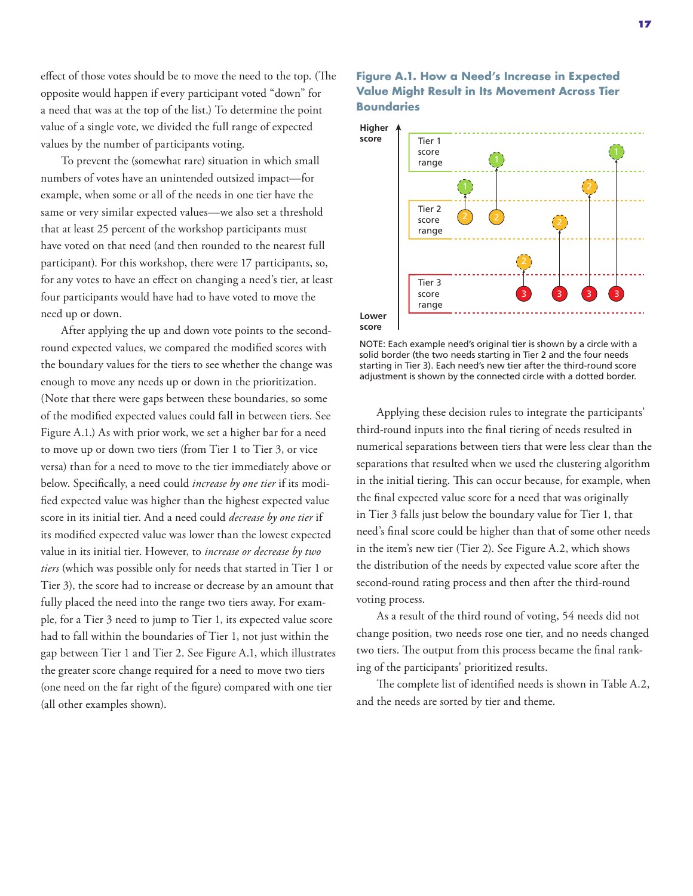effect of those votes should be to move the need to the top. (The opposite would happen if every participant voted "down" for a need that was at the top of the list.) To determine the point value of a single vote, we divided the full range of expected values by the number of participants voting.

To prevent the (somewhat rare) situation in which small numbers of votes have an unintended outsized impact—for example, when some or all of the needs in one tier have the same or very similar expected values—we also set a threshold that at least 25 percent of the workshop participants must have voted on that need (and then rounded to the nearest full participant). For this workshop, there were 17 participants, so, for any votes to have an effect on changing a need's tier, at least four participants would have had to have voted to move the need up or down.

After applying the up and down vote points to the secondround expected values, we compared the modified scores with the boundary values for the tiers to see whether the change was enough to move any needs up or down in the prioritization. (Note that there were gaps between these boundaries, so some of the modified expected values could fall in between tiers. See Figure A.1.) As with prior work, we set a higher bar for a need to move up or down two tiers (from Tier 1 to Tier 3, or vice versa) than for a need to move to the tier immediately above or below. Specifically, a need could *increase by one tier* if its modified expected value was higher than the highest expected value score in its initial tier. And a need could *decrease by one tier* if its modified expected value was lower than the lowest expected value in its initial tier. However, to *increase or decrease by two tiers* (which was possible only for needs that started in Tier 1 or Tier 3), the score had to increase or decrease by an amount that fully placed the need into the range two tiers away. For example, for a Tier 3 need to jump to Tier 1, its expected value score had to fall within the boundaries of Tier 1, not just within the gap between Tier 1 and Tier 2. See Figure A.1, which illustrates the greater score change required for a need to move two tiers (one need on the far right of the figure) compared with one tier (all other examples shown).

#### **Figure A.1. How a Need's Increase in Expected Value Might Result in Its Movement Across Tier Boundaries**



NOTE: Each example need's original tier is shown by a circle with a solid border (the two needs starting in Tier 2 and the four needs starting in Tier 3). Each need's new tier after the third-round score adjustment is shown by the connected circle with a dotted border.

Applying these decision rules to integrate the participants' third-round inputs into the final tiering of needs resulted in numerical separations between tiers that were less clear than the separations that resulted when we used the clustering algorithm in the initial tiering. This can occur because, for example, when the final expected value score for a need that was originally in Tier 3 falls just below the boundary value for Tier 1, that need's final score could be higher than that of some other needs in the item's new tier (Tier 2). See Figure A.2, which shows the distribution of the needs by expected value score after the second-round rating process and then after the third-round voting process.

As a result of the third round of voting, 54 needs did not change position, two needs rose one tier, and no needs changed two tiers. The output from this process became the final ranking of the participants' prioritized results.

The complete list of identified needs is shown in Table A.2, and the needs are sorted by tier and theme.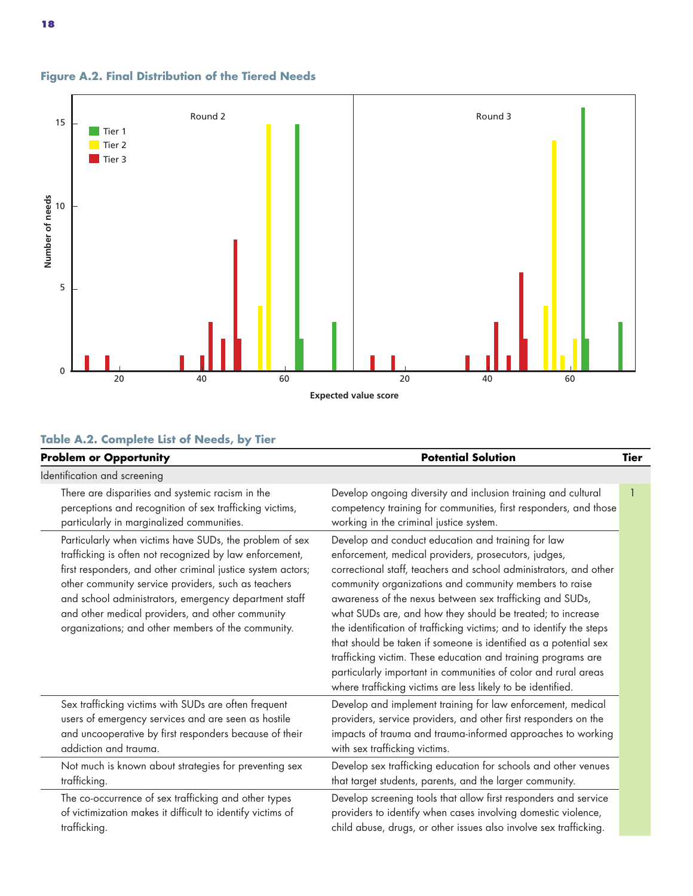

#### **Figure A.2. Final Distribution of the Tiered Needs**

## **Table A.2. Complete List of Needs, by Tier**

| <b>Problem or Opportunity</b>                                                                                                                                                                                                                                                                                                                                                                               | <b>Potential Solution</b>                                                                                                                                                                                                                                                                                                                                                                                                                                                                                                                                                                                                                                                                                         | <b>Tier</b> |
|-------------------------------------------------------------------------------------------------------------------------------------------------------------------------------------------------------------------------------------------------------------------------------------------------------------------------------------------------------------------------------------------------------------|-------------------------------------------------------------------------------------------------------------------------------------------------------------------------------------------------------------------------------------------------------------------------------------------------------------------------------------------------------------------------------------------------------------------------------------------------------------------------------------------------------------------------------------------------------------------------------------------------------------------------------------------------------------------------------------------------------------------|-------------|
| Identification and screening                                                                                                                                                                                                                                                                                                                                                                                |                                                                                                                                                                                                                                                                                                                                                                                                                                                                                                                                                                                                                                                                                                                   |             |
| There are disparities and systemic racism in the<br>perceptions and recognition of sex trafficking victims,<br>particularly in marginalized communities.                                                                                                                                                                                                                                                    | Develop ongoing diversity and inclusion training and cultural<br>competency training for communities, first responders, and those<br>working in the criminal justice system.                                                                                                                                                                                                                                                                                                                                                                                                                                                                                                                                      |             |
| Particularly when victims have SUDs, the problem of sex<br>trafficking is often not recognized by law enforcement,<br>first responders, and other criminal justice system actors;<br>other community service providers, such as teachers<br>and school administrators, emergency department staff<br>and other medical providers, and other community<br>organizations; and other members of the community. | Develop and conduct education and training for law<br>enforcement, medical providers, prosecutors, judges,<br>correctional staff, teachers and school administrators, and other<br>community organizations and community members to raise<br>awareness of the nexus between sex trafficking and SUDs,<br>what SUDs are, and how they should be treated; to increase<br>the identification of trafficking victims; and to identify the steps<br>that should be taken if someone is identified as a potential sex<br>trafficking victim. These education and training programs are<br>particularly important in communities of color and rural areas<br>where trafficking victims are less likely to be identified. |             |
| Sex trafficking victims with SUDs are often frequent<br>users of emergency services and are seen as hostile<br>and uncooperative by first responders because of their<br>addiction and trauma.                                                                                                                                                                                                              | Develop and implement training for law enforcement, medical<br>providers, service providers, and other first responders on the<br>impacts of trauma and trauma-informed approaches to working<br>with sex trafficking victims.                                                                                                                                                                                                                                                                                                                                                                                                                                                                                    |             |
| Not much is known about strategies for preventing sex<br>trafficking.                                                                                                                                                                                                                                                                                                                                       | Develop sex trafficking education for schools and other venues<br>that target students, parents, and the larger community.                                                                                                                                                                                                                                                                                                                                                                                                                                                                                                                                                                                        |             |
| The co-occurrence of sex trafficking and other types<br>of victimization makes it difficult to identify victims of<br>trafficking.                                                                                                                                                                                                                                                                          | Develop screening tools that allow first responders and service<br>providers to identify when cases involving domestic violence,<br>child abuse, drugs, or other issues also involve sex trafficking.                                                                                                                                                                                                                                                                                                                                                                                                                                                                                                             |             |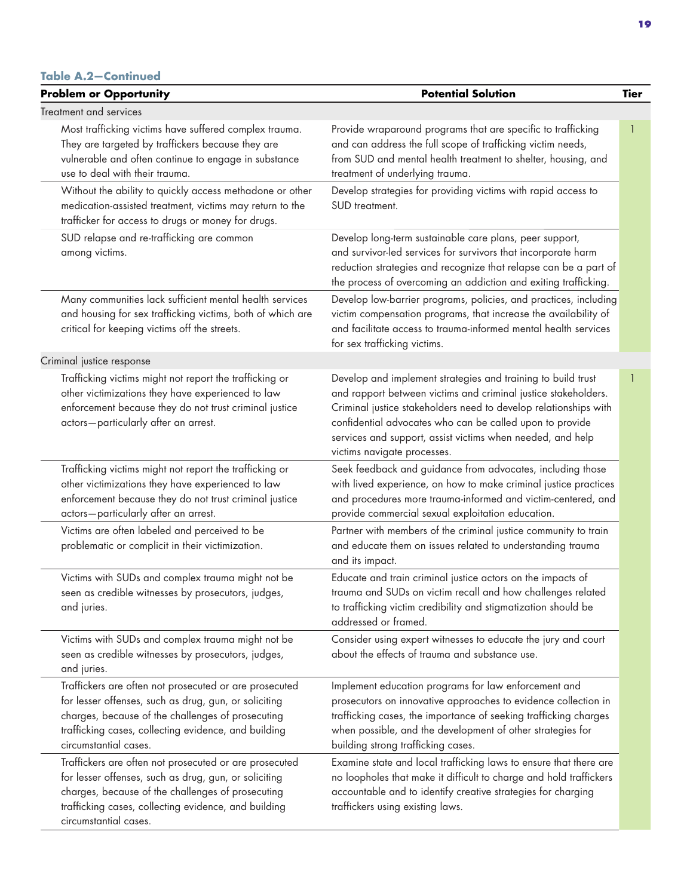#### **Table A.2—Continued**

| <b>Problem or Opportunity</b>                                                                                                                                                                                                                         | <b>Potential Solution</b>                                                                                                                                                                                                                                                                                                                                   | <b>Tier</b> |
|-------------------------------------------------------------------------------------------------------------------------------------------------------------------------------------------------------------------------------------------------------|-------------------------------------------------------------------------------------------------------------------------------------------------------------------------------------------------------------------------------------------------------------------------------------------------------------------------------------------------------------|-------------|
| Treatment and services                                                                                                                                                                                                                                |                                                                                                                                                                                                                                                                                                                                                             |             |
| Most trafficking victims have suffered complex trauma.<br>They are targeted by traffickers because they are<br>vulnerable and often continue to engage in substance<br>use to deal with their trauma.                                                 | Provide wraparound programs that are specific to trafficking<br>and can address the full scope of trafficking victim needs,<br>from SUD and mental health treatment to shelter, housing, and<br>treatment of underlying trauma.                                                                                                                             |             |
| Without the ability to quickly access methadone or other<br>medication-assisted treatment, victims may return to the<br>trafficker for access to drugs or money for drugs.                                                                            | Develop strategies for providing victims with rapid access to<br>SUD treatment.                                                                                                                                                                                                                                                                             |             |
| SUD relapse and re-trafficking are common<br>among victims.                                                                                                                                                                                           | Develop long-term sustainable care plans, peer support,<br>and survivor-led services for survivors that incorporate harm<br>reduction strategies and recognize that relapse can be a part of<br>the process of overcoming an addiction and exiting trafficking.                                                                                             |             |
| Many communities lack sufficient mental health services<br>and housing for sex trafficking victims, both of which are<br>critical for keeping victims off the streets.                                                                                | Develop low-barrier programs, policies, and practices, including<br>victim compensation programs, that increase the availability of<br>and facilitate access to trauma-informed mental health services<br>for sex trafficking victims.                                                                                                                      |             |
| Criminal justice response                                                                                                                                                                                                                             |                                                                                                                                                                                                                                                                                                                                                             |             |
| Trafficking victims might not report the trafficking or<br>other victimizations they have experienced to law<br>enforcement because they do not trust criminal justice<br>actors-particularly after an arrest.                                        | Develop and implement strategies and training to build trust<br>and rapport between victims and criminal justice stakeholders.<br>Criminal justice stakeholders need to develop relationships with<br>confidential advocates who can be called upon to provide<br>services and support, assist victims when needed, and help<br>victims navigate processes. |             |
| Trafficking victims might not report the trafficking or<br>other victimizations they have experienced to law<br>enforcement because they do not trust criminal justice<br>actors-particularly after an arrest.                                        | Seek feedback and guidance from advocates, including those<br>with lived experience, on how to make criminal justice practices<br>and procedures more trauma-informed and victim-centered, and<br>provide commercial sexual exploitation education.                                                                                                         |             |
| Victims are often labeled and perceived to be<br>problematic or complicit in their victimization.                                                                                                                                                     | Partner with members of the criminal justice community to train<br>and educate them on issues related to understanding trauma<br>and its impact.                                                                                                                                                                                                            |             |
| Victims with SUDs and complex trauma might not be<br>seen as credible witnesses by prosecutors, judges,<br>and juries.                                                                                                                                | Educate and train criminal justice actors on the impacts of<br>trauma and SUDs on victim recall and how challenges related<br>to trafficking victim credibility and stigmatization should be<br>addressed or framed.                                                                                                                                        |             |
| Victims with SUDs and complex trauma might not be<br>seen as credible witnesses by prosecutors, judges,<br>and juries.                                                                                                                                | Consider using expert witnesses to educate the jury and court<br>about the effects of trauma and substance use.                                                                                                                                                                                                                                             |             |
| Traffickers are often not prosecuted or are prosecuted<br>for lesser offenses, such as drug, gun, or soliciting<br>charges, because of the challenges of prosecuting<br>trafficking cases, collecting evidence, and building<br>circumstantial cases. | Implement education programs for law enforcement and<br>prosecutors on innovative approaches to evidence collection in<br>trafficking cases, the importance of seeking trafficking charges<br>when possible, and the development of other strategies for<br>building strong trafficking cases.                                                              |             |
| Traffickers are often not prosecuted or are prosecuted<br>for lesser offenses, such as drug, gun, or soliciting<br>charges, because of the challenges of prosecuting<br>trafficking cases, collecting evidence, and building<br>circumstantial cases. | Examine state and local trafficking laws to ensure that there are<br>no loopholes that make it difficult to charge and hold traffickers<br>accountable and to identify creative strategies for charging<br>traffickers using existing laws.                                                                                                                 |             |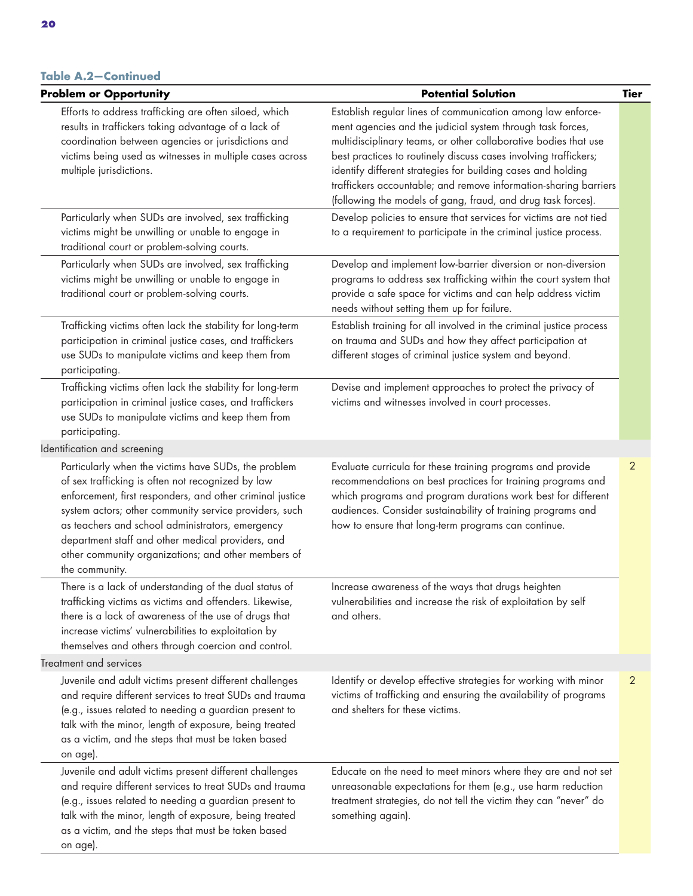#### **Table A.2—Continued**

| <b>Problem or Opportunity</b>                                                                                                                                                                                                                                                                                                                                                                                      | <b>Potential Solution</b>                                                                                                                                                                                                                                                                                                                                                                                                                                            | <b>Tier</b>    |
|--------------------------------------------------------------------------------------------------------------------------------------------------------------------------------------------------------------------------------------------------------------------------------------------------------------------------------------------------------------------------------------------------------------------|----------------------------------------------------------------------------------------------------------------------------------------------------------------------------------------------------------------------------------------------------------------------------------------------------------------------------------------------------------------------------------------------------------------------------------------------------------------------|----------------|
| Efforts to address trafficking are often siloed, which<br>results in traffickers taking advantage of a lack of<br>coordination between agencies or jurisdictions and<br>victims being used as witnesses in multiple cases across<br>multiple jurisdictions.                                                                                                                                                        | Establish regular lines of communication among law enforce-<br>ment agencies and the judicial system through task forces,<br>multidisciplinary teams, or other collaborative bodies that use<br>best practices to routinely discuss cases involving traffickers;<br>identify different strategies for building cases and holding<br>traffickers accountable; and remove information-sharing barriers<br>(following the models of gang, fraud, and drug task forces). |                |
| Particularly when SUDs are involved, sex trafficking<br>victims might be unwilling or unable to engage in<br>traditional court or problem-solving courts.                                                                                                                                                                                                                                                          | Develop policies to ensure that services for victims are not tied<br>to a requirement to participate in the criminal justice process.                                                                                                                                                                                                                                                                                                                                |                |
| Particularly when SUDs are involved, sex trafficking<br>victims might be unwilling or unable to engage in<br>traditional court or problem-solving courts.                                                                                                                                                                                                                                                          | Develop and implement low-barrier diversion or non-diversion<br>programs to address sex trafficking within the court system that<br>provide a safe space for victims and can help address victim<br>needs without setting them up for failure.                                                                                                                                                                                                                       |                |
| Trafficking victims often lack the stability for long-term<br>participation in criminal justice cases, and traffickers<br>use SUDs to manipulate victims and keep them from<br>participating.                                                                                                                                                                                                                      | Establish training for all involved in the criminal justice process<br>on trauma and SUDs and how they affect participation at<br>different stages of criminal justice system and beyond.                                                                                                                                                                                                                                                                            |                |
| Trafficking victims often lack the stability for long-term<br>participation in criminal justice cases, and traffickers<br>use SUDs to manipulate victims and keep them from<br>participating.                                                                                                                                                                                                                      | Devise and implement approaches to protect the privacy of<br>victims and witnesses involved in court processes.                                                                                                                                                                                                                                                                                                                                                      |                |
| Identification and screening                                                                                                                                                                                                                                                                                                                                                                                       |                                                                                                                                                                                                                                                                                                                                                                                                                                                                      |                |
| Particularly when the victims have SUDs, the problem<br>of sex trafficking is often not recognized by law<br>enforcement, first responders, and other criminal justice<br>system actors; other community service providers, such<br>as teachers and school administrators, emergency<br>department staff and other medical providers, and<br>other community organizations; and other members of<br>the community. | Evaluate curricula for these training programs and provide<br>recommendations on best practices for training programs and<br>which programs and program durations work best for different<br>audiences. Consider sustainability of training programs and<br>how to ensure that long-term programs can continue.                                                                                                                                                      | 2              |
| There is a lack of understanding of the dual status of<br>trafficking victims as victims and offenders. Likewise,<br>there is a lack of awareness of the use of drugs that<br>increase victims' vulnerabilities to exploitation by<br>themselves and others through coercion and control.                                                                                                                          | Increase awareness of the ways that drugs heighten<br>vulnerabilities and increase the risk of exploitation by self<br>and others.                                                                                                                                                                                                                                                                                                                                   |                |
| Treatment and services                                                                                                                                                                                                                                                                                                                                                                                             |                                                                                                                                                                                                                                                                                                                                                                                                                                                                      |                |
| Juvenile and adult victims present different challenges<br>and require different services to treat SUDs and trauma<br>(e.g., issues related to needing a guardian present to<br>talk with the minor, length of exposure, being treated<br>as a victim, and the steps that must be taken based<br>on age).                                                                                                          | Identify or develop effective strategies for working with minor<br>victims of trafficking and ensuring the availability of programs<br>and shelters for these victims.                                                                                                                                                                                                                                                                                               | $\overline{2}$ |
| Juvenile and adult victims present different challenges<br>and require different services to treat SUDs and trauma<br>(e.g., issues related to needing a guardian present to<br>talk with the minor, length of exposure, being treated<br>as a victim, and the steps that must be taken based<br>on age).                                                                                                          | Educate on the need to meet minors where they are and not set<br>unreasonable expectations for them (e.g., use harm reduction<br>treatment strategies, do not tell the victim they can "never" do<br>something again).                                                                                                                                                                                                                                               |                |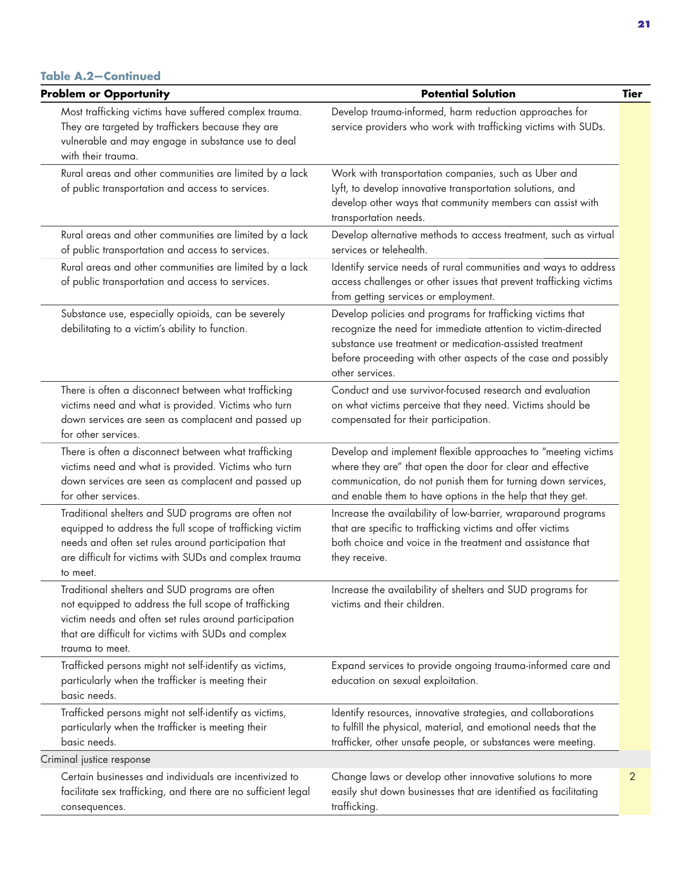| <b>Problem or Opportunity</b>                                                                                                                                                                                                                | <b>Potential Solution</b>                                                                                                                                                                                                                                                   | <b>Tier</b> |
|----------------------------------------------------------------------------------------------------------------------------------------------------------------------------------------------------------------------------------------------|-----------------------------------------------------------------------------------------------------------------------------------------------------------------------------------------------------------------------------------------------------------------------------|-------------|
| Most trafficking victims have suffered complex trauma.<br>They are targeted by traffickers because they are<br>vulnerable and may engage in substance use to deal<br>with their trauma.                                                      | Develop trauma-informed, harm reduction approaches for<br>service providers who work with trafficking victims with SUDs.                                                                                                                                                    |             |
| Rural areas and other communities are limited by a lack<br>of public transportation and access to services.                                                                                                                                  | Work with transportation companies, such as Uber and<br>Lyft, to develop innovative transportation solutions, and<br>develop other ways that community members can assist with<br>transportation needs.                                                                     |             |
| Rural areas and other communities are limited by a lack<br>of public transportation and access to services.                                                                                                                                  | Develop alternative methods to access treatment, such as virtual<br>services or telehealth.                                                                                                                                                                                 |             |
| Rural areas and other communities are limited by a lack<br>of public transportation and access to services.                                                                                                                                  | Identify service needs of rural communities and ways to address<br>access challenges or other issues that prevent trafficking victims<br>from getting services or employment.                                                                                               |             |
| Substance use, especially opioids, can be severely<br>debilitating to a victim's ability to function.                                                                                                                                        | Develop policies and programs for trafficking victims that<br>recognize the need for immediate attention to victim-directed<br>substance use treatment or medication-assisted treatment<br>before proceeding with other aspects of the case and possibly<br>other services. |             |
| There is often a disconnect between what trafficking<br>victims need and what is provided. Victims who turn<br>down services are seen as complacent and passed up<br>for other services.                                                     | Conduct and use survivor-focused research and evaluation<br>on what victims perceive that they need. Victims should be<br>compensated for their participation.                                                                                                              |             |
| There is often a disconnect between what trafficking<br>victims need and what is provided. Victims who turn<br>down services are seen as complacent and passed up<br>for other services.                                                     | Develop and implement flexible approaches to "meeting victims<br>where they are" that open the door for clear and effective<br>communication, do not punish them for turning down services,<br>and enable them to have options in the help that they get.                   |             |
| Traditional shelters and SUD programs are often not<br>equipped to address the full scope of trafficking victim<br>needs and often set rules around participation that<br>are difficult for victims with SUDs and complex trauma<br>to meet. | Increase the availability of low-barrier, wraparound programs<br>that are specific to trafficking victims and offer victims<br>both choice and voice in the treatment and assistance that<br>they receive.                                                                  |             |
| Traditional shelters and SUD programs are often<br>not equipped to address the full scope of trafficking<br>victim needs and often set rules around participation<br>that are difficult for victims with SUDs and complex<br>trauma to meet. | Increase the availability of shelters and SUD programs for<br>victims and their children.                                                                                                                                                                                   |             |
| Trafficked persons might not self-identify as victims,<br>particularly when the trafficker is meeting their<br>basic needs.                                                                                                                  | Expand services to provide ongoing trauma-informed care and<br>education on sexual exploitation.                                                                                                                                                                            |             |
| Trafficked persons might not self-identify as victims,<br>particularly when the trafficker is meeting their<br>basic needs.                                                                                                                  | Identify resources, innovative strategies, and collaborations<br>to fulfill the physical, material, and emotional needs that the<br>trafficker, other unsafe people, or substances were meeting.                                                                            |             |
| Criminal justice response                                                                                                                                                                                                                    |                                                                                                                                                                                                                                                                             |             |
| Certain businesses and individuals are incentivized to<br>facilitate sex trafficking, and there are no sufficient legal<br>consequences.                                                                                                     | Change laws or develop other innovative solutions to more<br>easily shut down businesses that are identified as facilitating<br>trafficking.                                                                                                                                | 2           |
|                                                                                                                                                                                                                                              |                                                                                                                                                                                                                                                                             |             |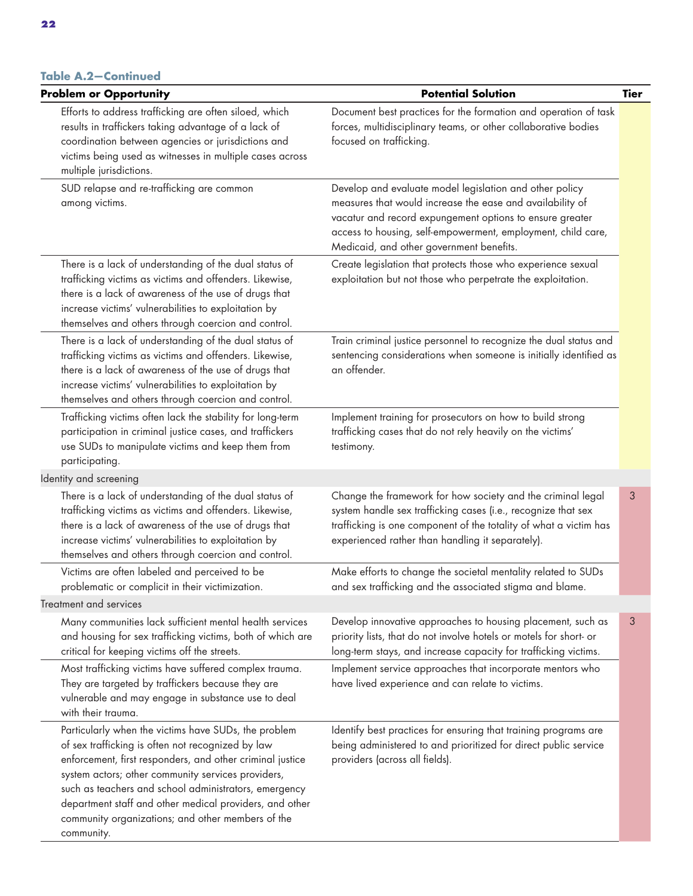#### **Table A.2—Continued**

| <b>Problem or Opportunity</b>                                                                                                                                                                                                                                                                                                                                                                                       | <b>Potential Solution</b>                                                                                                                                                                                                                                                                    | <b>Tier</b> |  |
|---------------------------------------------------------------------------------------------------------------------------------------------------------------------------------------------------------------------------------------------------------------------------------------------------------------------------------------------------------------------------------------------------------------------|----------------------------------------------------------------------------------------------------------------------------------------------------------------------------------------------------------------------------------------------------------------------------------------------|-------------|--|
| Efforts to address trafficking are often siloed, which<br>results in traffickers taking advantage of a lack of<br>coordination between agencies or jurisdictions and<br>victims being used as witnesses in multiple cases across<br>multiple jurisdictions.                                                                                                                                                         | Document best practices for the formation and operation of task<br>forces, multidisciplinary teams, or other collaborative bodies<br>focused on trafficking.                                                                                                                                 |             |  |
| SUD relapse and re-trafficking are common<br>among victims.                                                                                                                                                                                                                                                                                                                                                         | Develop and evaluate model legislation and other policy<br>measures that would increase the ease and availability of<br>vacatur and record expungement options to ensure greater<br>access to housing, self-empowerment, employment, child care,<br>Medicaid, and other government benefits. |             |  |
| There is a lack of understanding of the dual status of<br>trafficking victims as victims and offenders. Likewise,<br>there is a lack of awareness of the use of drugs that<br>increase victims' vulnerabilities to exploitation by<br>themselves and others through coercion and control.                                                                                                                           | Create legislation that protects those who experience sexual<br>exploitation but not those who perpetrate the exploitation.                                                                                                                                                                  |             |  |
| There is a lack of understanding of the dual status of<br>trafficking victims as victims and offenders. Likewise,<br>there is a lack of awareness of the use of drugs that<br>increase victims' vulnerabilities to exploitation by<br>themselves and others through coercion and control.                                                                                                                           | Train criminal justice personnel to recognize the dual status and<br>sentencing considerations when someone is initially identified as<br>an offender.                                                                                                                                       |             |  |
| Trafficking victims often lack the stability for long-term<br>participation in criminal justice cases, and traffickers<br>use SUDs to manipulate victims and keep them from<br>participating.                                                                                                                                                                                                                       | Implement training for prosecutors on how to build strong<br>trafficking cases that do not rely heavily on the victims'<br>testimony.                                                                                                                                                        |             |  |
| Identity and screening                                                                                                                                                                                                                                                                                                                                                                                              |                                                                                                                                                                                                                                                                                              |             |  |
| There is a lack of understanding of the dual status of<br>trafficking victims as victims and offenders. Likewise,<br>there is a lack of awareness of the use of drugs that<br>increase victims' vulnerabilities to exploitation by<br>themselves and others through coercion and control.                                                                                                                           | Change the framework for how society and the criminal legal<br>system handle sex trafficking cases (i.e., recognize that sex<br>trafficking is one component of the totality of what a victim has<br>experienced rather than handling it separately).                                        | 3           |  |
| Victims are often labeled and perceived to be<br>problematic or complicit in their victimization.                                                                                                                                                                                                                                                                                                                   | Make efforts to change the societal mentality related to SUDs<br>and sex trafficking and the associated stigma and blame.                                                                                                                                                                    |             |  |
| Treatment and services                                                                                                                                                                                                                                                                                                                                                                                              |                                                                                                                                                                                                                                                                                              |             |  |
| Many communities lack sufficient mental health services<br>and housing for sex trafficking victims, both of which are<br>critical for keeping victims off the streets.                                                                                                                                                                                                                                              | Develop innovative approaches to housing placement, such as<br>priority lists, that do not involve hotels or motels for short- or<br>long-term stays, and increase capacity for trafficking victims.                                                                                         | 3           |  |
| Most trafficking victims have suffered complex trauma.<br>They are targeted by traffickers because they are<br>vulnerable and may engage in substance use to deal<br>with their trauma.                                                                                                                                                                                                                             | Implement service approaches that incorporate mentors who<br>have lived experience and can relate to victims.                                                                                                                                                                                |             |  |
| Particularly when the victims have SUDs, the problem<br>of sex trafficking is often not recognized by law<br>enforcement, first responders, and other criminal justice<br>system actors; other community services providers,<br>such as teachers and school administrators, emergency<br>department staff and other medical providers, and other<br>community organizations; and other members of the<br>community. | Identify best practices for ensuring that training programs are<br>being administered to and prioritized for direct public service<br>providers (across all fields).                                                                                                                         |             |  |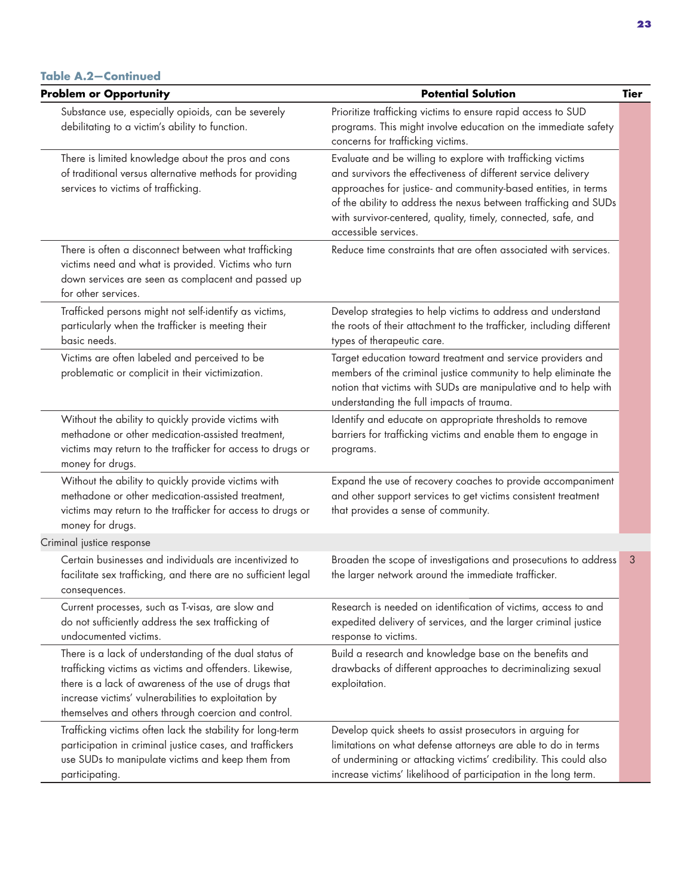| <b>Problem or Opportunity</b>                                                                                                                                                                                                                                                             | <b>Potential Solution</b>                                                                                                                                                                                                                                                                                                                                   | <b>Tier</b> |
|-------------------------------------------------------------------------------------------------------------------------------------------------------------------------------------------------------------------------------------------------------------------------------------------|-------------------------------------------------------------------------------------------------------------------------------------------------------------------------------------------------------------------------------------------------------------------------------------------------------------------------------------------------------------|-------------|
| Substance use, especially opioids, can be severely<br>debilitating to a victim's ability to function.                                                                                                                                                                                     | Prioritize trafficking victims to ensure rapid access to SUD<br>programs. This might involve education on the immediate safety<br>concerns for trafficking victims.                                                                                                                                                                                         |             |
| There is limited knowledge about the pros and cons<br>of traditional versus alternative methods for providing<br>services to victims of trafficking.                                                                                                                                      | Evaluate and be willing to explore with trafficking victims<br>and survivors the effectiveness of different service delivery<br>approaches for justice- and community-based entities, in terms<br>of the ability to address the nexus between trafficking and SUDs<br>with survivor-centered, quality, timely, connected, safe, and<br>accessible services. |             |
| There is often a disconnect between what trafficking<br>victims need and what is provided. Victims who turn<br>down services are seen as complacent and passed up<br>for other services.                                                                                                  | Reduce time constraints that are often associated with services.                                                                                                                                                                                                                                                                                            |             |
| Trafficked persons might not self-identify as victims,<br>particularly when the trafficker is meeting their<br>basic needs.                                                                                                                                                               | Develop strategies to help victims to address and understand<br>the roots of their attachment to the trafficker, including different<br>types of therapeutic care.                                                                                                                                                                                          |             |
| Victims are often labeled and perceived to be<br>problematic or complicit in their victimization.                                                                                                                                                                                         | Target education toward treatment and service providers and<br>members of the criminal justice community to help eliminate the<br>notion that victims with SUDs are manipulative and to help with<br>understanding the full impacts of trauma.                                                                                                              |             |
| Without the ability to quickly provide victims with<br>methadone or other medication-assisted treatment,<br>victims may return to the trafficker for access to drugs or<br>money for drugs.                                                                                               | Identify and educate on appropriate thresholds to remove<br>barriers for trafficking victims and enable them to engage in<br>programs.                                                                                                                                                                                                                      |             |
| Without the ability to quickly provide victims with<br>methadone or other medication-assisted treatment,<br>victims may return to the trafficker for access to drugs or<br>money for drugs.                                                                                               | Expand the use of recovery coaches to provide accompaniment<br>and other support services to get victims consistent treatment<br>that provides a sense of community.                                                                                                                                                                                        |             |
| Criminal justice response                                                                                                                                                                                                                                                                 |                                                                                                                                                                                                                                                                                                                                                             |             |
| Certain businesses and individuals are incentivized to<br>facilitate sex trafficking, and there are no sufficient legal<br>consequences.                                                                                                                                                  | Broaden the scope of investigations and prosecutions to address<br>the larger network around the immediate trafficker.                                                                                                                                                                                                                                      | 3           |
| Current processes, such as T-visas, are slow and<br>do not sufficiently address the sex trafficking of<br>undocumented victims.                                                                                                                                                           | Research is needed on identification of victims, access to and<br>expedited delivery of services, and the larger criminal justice<br>response to victims.                                                                                                                                                                                                   |             |
| There is a lack of understanding of the dual status of<br>trafficking victims as victims and offenders. Likewise,<br>there is a lack of awareness of the use of drugs that<br>increase victims' vulnerabilities to exploitation by<br>themselves and others through coercion and control. | Build a research and knowledge base on the benefits and<br>drawbacks of different approaches to decriminalizing sexual<br>exploitation.                                                                                                                                                                                                                     |             |
| Trafficking victims often lack the stability for long-term<br>participation in criminal justice cases, and traffickers<br>use SUDs to manipulate victims and keep them from<br>participating.                                                                                             | Develop quick sheets to assist prosecutors in arguing for<br>limitations on what defense attorneys are able to do in terms<br>of undermining or attacking victims' credibility. This could also<br>increase victims' likelihood of participation in the long term.                                                                                          |             |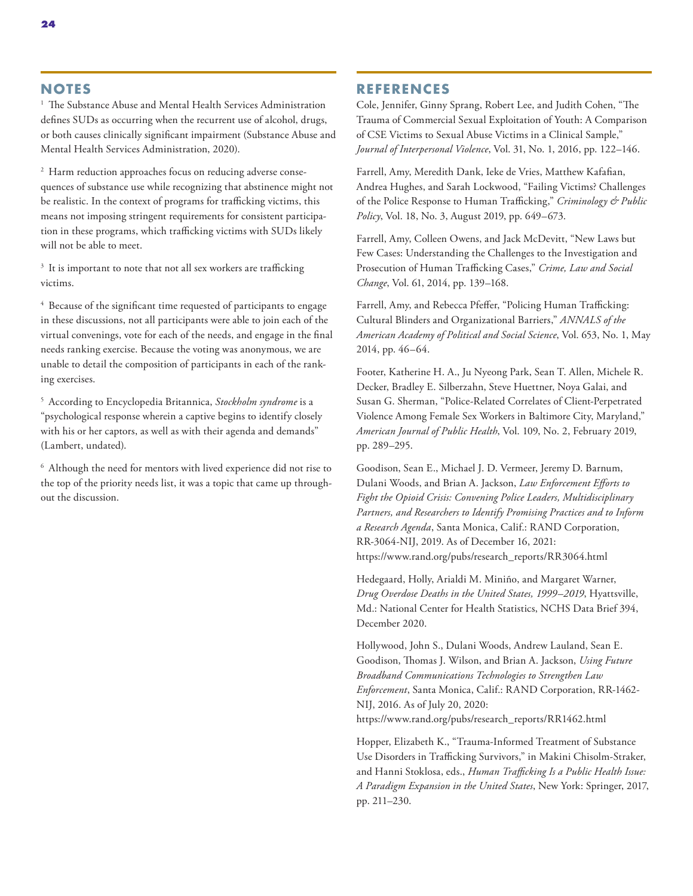#### **NOTES**

<sup>1</sup> The Substance Abuse and Mental Health Services Administration defines SUDs as occurring when the recurrent use of alcohol, drugs, or both causes clinically significant impairment (Substance Abuse and Mental Health Services Administration, 2020).

<sup>2</sup> Harm reduction approaches focus on reducing adverse consequences of substance use while recognizing that abstinence might not be realistic. In the context of programs for trafficking victims, this means not imposing stringent requirements for consistent participation in these programs, which trafficking victims with SUDs likely will not be able to meet.

<sup>3</sup> It is important to note that not all sex workers are trafficking victims.

<sup>4</sup> Because of the significant time requested of participants to engage in these discussions, not all participants were able to join each of the virtual convenings, vote for each of the needs, and engage in the final needs ranking exercise. Because the voting was anonymous, we are unable to detail the composition of participants in each of the ranking exercises.

5 According to Encyclopedia Britannica, *Stockholm syndrome* is a "psychological response wherein a captive begins to identify closely with his or her captors, as well as with their agenda and demands" (Lambert, undated).

6 Although the need for mentors with lived experience did not rise to the top of the priority needs list, it was a topic that came up throughout the discussion.

#### **REFERENCES**

Cole, Jennifer, Ginny Sprang, Robert Lee, and Judith Cohen, "The Trauma of Commercial Sexual Exploitation of Youth: A Comparison of CSE Victims to Sexual Abuse Victims in a Clinical Sample," *Journal of Interpersonal Violence*, Vol. 31, No. 1, 2016, pp. 122–146.

Farrell, Amy, Meredith Dank, Ieke de Vries, Matthew Kafafian, Andrea Hughes, and Sarah Lockwood, "Failing Victims? Challenges of the Police Response to Human Trafficking," *Criminology & Public Policy*, Vol. 18, No. 3, August 2019, pp. 649–673.

Farrell, Amy, Colleen Owens, and Jack McDevitt, "New Laws but Few Cases: Understanding the Challenges to the Investigation and Prosecution of Human Trafficking Cases," *Crime, Law and Social Change*, Vol. 61, 2014, pp. 139–168.

Farrell, Amy, and Rebecca Pfeffer, "Policing Human Trafficking: Cultural Blinders and Organizational Barriers," *ANNALS of the American Academy of Political and Social Science*, Vol. 653, No. 1, May 2014, pp. 46–64.

Footer, Katherine H. A., Ju Nyeong Park, Sean T. Allen, Michele R. Decker, Bradley E. Silberzahn, Steve Huettner, Noya Galai, and Susan G. Sherman, "Police-Related Correlates of Client-Perpetrated Violence Among Female Sex Workers in Baltimore City, Maryland," *American Journal of Public Health*, Vol. 109, No. 2, February 2019, pp. 289–295.

Goodison, Sean E., Michael J. D. Vermeer, Jeremy D. Barnum, Dulani Woods, and Brian A. Jackson, *Law Enforcement Efforts to Fight the Opioid Crisis: Convening Police Leaders, Multidisciplinary Partners, and Researchers to Identify Promising Practices and to Inform a Research Agenda*, Santa Monica, Calif.: RAND Corporation, RR-3064-NIJ, 2019. As of December 16, 2021: [https://www.rand.org/pubs/research\\_reports/RR3064.html](https://www.rand.org/pubs/research_reports/RR3064.html)

Hedegaard, Holly, Arialdi M. Miniño, and Margaret Warner, *Drug Overdose Deaths in the United States, 1999–2019*, Hyattsville, Md.: National Center for Health Statistics, NCHS Data Brief 394, December 2020.

Hollywood, John S., Dulani Woods, Andrew Lauland, Sean E. Goodison, Thomas J. Wilson, and Brian A. Jackson, *Using Future Broadband Communications Technologies to Strengthen Law Enforcement*, Santa Monica, Calif.: RAND Corporation, RR-1462- NIJ, 2016. As of July 20, 2020: [https://www.rand.org/pubs/research\\_reports/RR1462.html](https://www.rand.org/pubs/research_reports/RR1462.html)

Hopper, Elizabeth K., "Trauma-Informed Treatment of Substance Use Disorders in Trafficking Survivors," in Makini Chisolm-Straker, and Hanni Stoklosa, eds., *Human Trafficking Is a Public Health Issue: A Paradigm Expansion in the United States*, New York: Springer, 2017, pp. 211–230.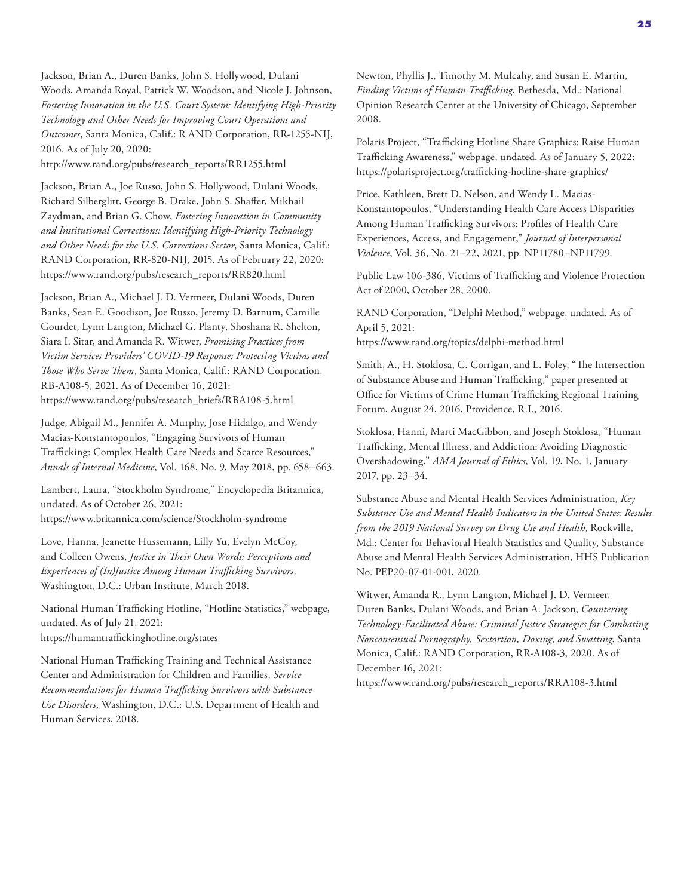Jackson, Brian A., Duren Banks, John S. Hollywood, Dulani Woods, Amanda Royal, Patrick W. Woodson, and Nicole J. Johnson, *Fostering Innovation in the U.S. Court System: Identifying High-Priority Technology and Other Needs for Improving Court Operations and Outcomes*, Santa Monica, Calif.: R AND Corporation, RR-1255-NIJ, 2016. As of July 20, 2020:

[http://www.rand.org/pubs/research\\_reports/RR1255.html](http://www.rand.org/pubs/research_reports/RR1255.html)

Jackson, Brian A., Joe Russo, John S. Hollywood, Dulani Woods, Richard Silberglitt, George B. Drake, John S. Shaffer, Mikhail Zaydman, and Brian G. Chow, *Fostering Innovation in Community and Institutional Corrections: Identifying High-Priority Technology and Other Needs for the U.S. Corrections Sector*, Santa Monica, Calif.: RAND Corporation, RR-820-NIJ, 2015. As of February 22, 2020: [https://www.rand.org/pubs/research\\_reports/RR820.html](https://www.rand.org/pubs/research_reports/RR820.html)

Jackson, Brian A., Michael J. D. Vermeer, Dulani Woods, Duren Banks, Sean E. Goodison, Joe Russo, Jeremy D. Barnum, Camille Gourdet, Lynn Langton, Michael G. Planty, Shoshana R. Shelton, Siara I. Sitar, and Amanda R. Witwer, *Promising Practices from Victim Services Providers' COVID-19 Response: Protecting Victims and Those Who Serve Them*, Santa Monica, Calif.: RAND Corporation, RB-A108-5, 2021. As of December 16, 2021: [https://www.rand.org/pubs/research\\_briefs/RBA108-5.html](https://www.rand.org/pubs/research_briefs/RBA108-5.html)

Judge, Abigail M., Jennifer A. Murphy, Jose Hidalgo, and Wendy Macias-Konstantopoulos, "Engaging Survivors of Human Trafficking: Complex Health Care Needs and Scarce Resources," *Annals of Internal Medicine*, Vol. 168, No. 9, May 2018, pp. 658–663.

Lambert, Laura, "Stockholm Syndrome," Encyclopedia Britannica, undated. As of October 26, 2021: <https://www.britannica.com/science/Stockholm-syndrome>

Love, Hanna, Jeanette Hussemann, Lilly Yu, Evelyn McCoy, and Colleen Owens, *Justice in Their Own Words: Perceptions and Experiences of (In)Justice Among Human Trafficking Survivors*, Washington, D.C.: Urban Institute, March 2018.

National Human Trafficking Hotline, "Hotline Statistics," webpage, undated. As of July 21, 2021: <https://humantraffickinghotline.org/states>

National Human Trafficking Training and Technical Assistance Center and Administration for Children and Families, *Service Recommendations for Human Trafficking Survivors with Substance Use Disorders*, Washington, D.C.: U.S. Department of Health and Human Services, 2018.

Newton, Phyllis J., Timothy M. Mulcahy, and Susan E. Martin, *Finding Victims of Human Trafficking*, Bethesda, Md.: National Opinion Research Center at the University of Chicago, September 2008.

Polaris Project, "Trafficking Hotline Share Graphics: Raise Human Trafficking Awareness," webpage, undated. As of January 5, 2022: <https://polarisproject.org/trafficking-hotline-share-graphics/>

Price, Kathleen, Brett D. Nelson, and Wendy L. Macias-Konstantopoulos, "Understanding Health Care Access Disparities Among Human Trafficking Survivors: Profiles of Health Care Experiences, Access, and Engagement," *Journal of Interpersonal Violence*, Vol. 36, No. 21–22, 2021, pp. NP11780–NP11799.

Public Law 106-386, Victims of Trafficking and Violence Protection Act of 2000, October 28, 2000.

RAND Corporation, "Delphi Method," webpage, undated. As of April 5, 2021: <https://www.rand.org/topics/delphi-method.html>

Smith, A., H. Stoklosa, C. Corrigan, and L. Foley, "The Intersection of Substance Abuse and Human Trafficking," paper presented at Office for Victims of Crime Human Trafficking Regional Training Forum, August 24, 2016, Providence, R.I., 2016.

Stoklosa, Hanni, Marti MacGibbon, and Joseph Stoklosa, "Human Trafficking, Mental Illness, and Addiction: Avoiding Diagnostic Overshadowing," *AMA Journal of Ethics*, Vol. 19, No. 1, January 2017, pp. 23–34.

Substance Abuse and Mental Health Services Administration, *Key Substance Use and Mental Health Indicators in the United States: Results from the 2019 National Survey on Drug Use and Health*, Rockville, Md.: Center for Behavioral Health Statistics and Quality, Substance Abuse and Mental Health Services Administration, HHS Publication No. PEP20-07-01-001, 2020.

Witwer, Amanda R., Lynn Langton, Michael J. D. Vermeer, Duren Banks, Dulani Woods, and Brian A. Jackson, *Countering Technology-Facilitated Abuse: Criminal Justice Strategies for Combating Nonconsensual Pornography, Sextortion, Doxing, and Swatting*, Santa Monica, Calif.: RAND Corporation, RR-A108-3, 2020. As of December 16, 2021:

[https://www.rand.org/pubs/research\\_reports/RRA108-3.html](https://www.rand.org/pubs/research_reports/RRA108-3.html)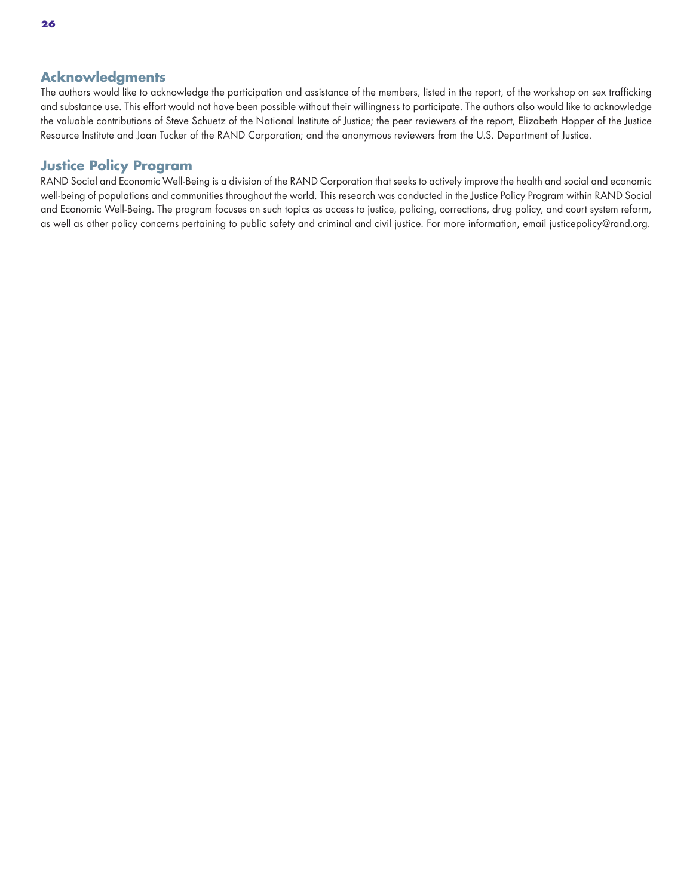#### **Acknowledgments**

The authors would like to acknowledge the participation and assistance of the members, listed in the report, of the workshop on sex trafficking and substance use. This effort would not have been possible without their willingness to participate. The authors also would like to acknowledge the valuable contributions of Steve Schuetz of the National Institute of Justice; the peer reviewers of the report, Elizabeth Hopper of the Justice Resource Institute and Joan Tucker of the RAND Corporation; and the anonymous reviewers from the U.S. Department of Justice.

#### **Justice Policy Program**

RAND Social and Economic Well-Being is a division of the RAND Corporation that seeks to actively improve the health and social and economic well-being of populations and communities throughout the world. This research was conducted in the Justice Policy Program within RAND Social and Economic Well-Being. The program focuses on such topics as access to justice, policing, corrections, drug policy, and court system reform, as well as other policy concerns pertaining to public safety and criminal and civil justice. For more information, email [justicepolicy@rand.org](mailto:justicepolicy@rand.org).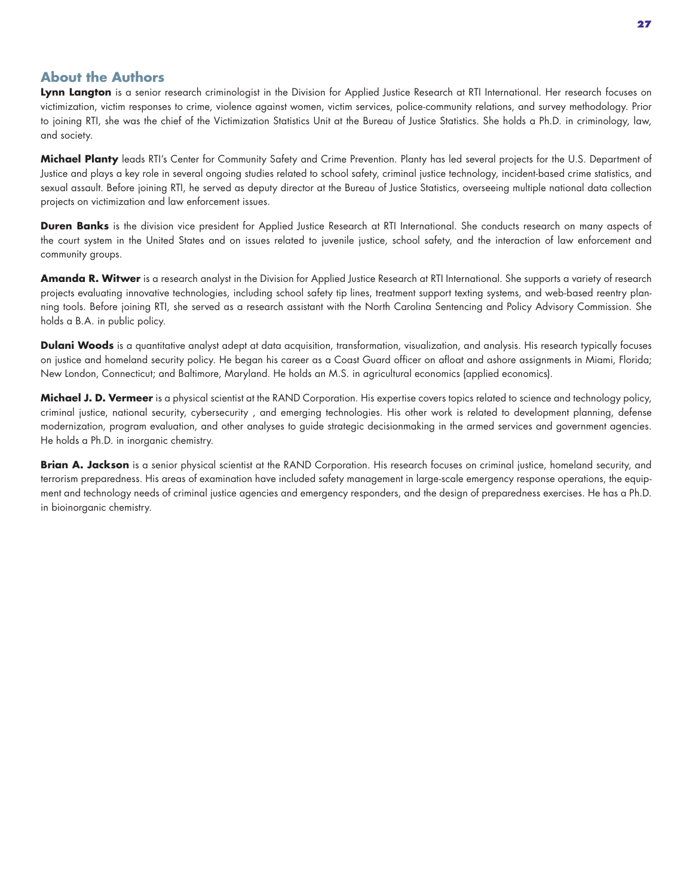#### **About the Authors**

**Lynn Langton** is a senior research criminologist in the Division for Applied Justice Research at RTI International. Her research focuses on victimization, victim responses to crime, violence against women, victim services, police-community relations, and survey methodology. Prior to joining RTI, she was the chief of the Victimization Statistics Unit at the Bureau of Justice Statistics. She holds a Ph.D. in criminology, law, and society.

**Michael Planty** leads RTI's Center for Community Safety and Crime Prevention. Planty has led several projects for the U.S. Department of Justice and plays a key role in several ongoing studies related to school safety, criminal justice technology, incident-based crime statistics, and sexual assault. Before joining RTI, he served as deputy director at the Bureau of Justice Statistics, overseeing multiple national data collection projects on victimization and law enforcement issues.

**Duren Banks** is the division vice president for Applied Justice Research at RTI International. She conducts research on many aspects of the court system in the United States and on issues related to juvenile justice, school safety, and the interaction of law enforcement and community groups.

**Amanda R. Witwer** is a research analyst in the Division for Applied Justice Research at RTI International. She supports a variety of research projects evaluating innovative technologies, including school safety tip lines, treatment support texting systems, and web-based reentry planning tools. Before joining RTI, she served as a research assistant with the North Carolina Sentencing and Policy Advisory Commission. She holds a B.A. in public policy.

**Dulani Woods** is a quantitative analyst adept at data acquisition, transformation, visualization, and analysis. His research typically focuses on justice and homeland security policy. He began his career as a Coast Guard officer on afloat and ashore assignments in Miami, Florida; New London, Connecticut; and Baltimore, Maryland. He holds an M.S. in agricultural economics (applied economics).

**Michael J. D. Vermeer** is a physical scientist at the RAND Corporation. His expertise covers topics related to science and technology policy, criminal justice, national security, cybersecurity , and emerging technologies. His other work is related to development planning, defense modernization, program evaluation, and other analyses to guide strategic decisionmaking in the armed services and government agencies. He holds a Ph.D. in inorganic chemistry.

**Brian A. Jackson** is a senior physical scientist at the RAND Corporation. His research focuses on criminal justice, homeland security, and terrorism preparedness. His areas of examination have included safety management in large-scale emergency response operations, the equipment and technology needs of criminal justice agencies and emergency responders, and the design of preparedness exercises. He has a Ph.D. in bioinorganic chemistry.